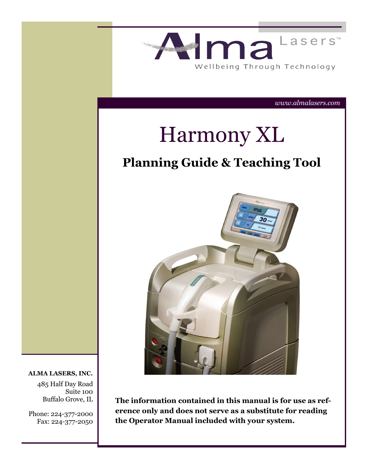

485 Half Day Road

Suite 100 Buffalo Grove, IL

Phone: 224-377-2000 Fax: 224-377-2050 **The information contained in this manual is for use as reference only and does not serve as a substitute for reading the Operator Manual included with your system.**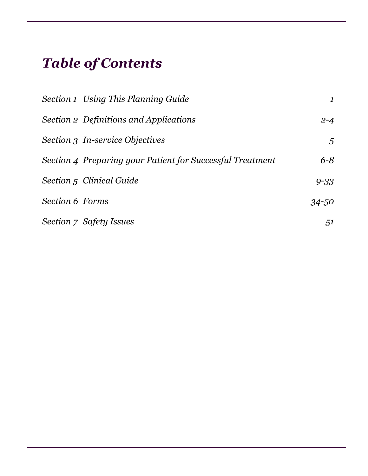# *Table of Contents*

|                        | <b>Section 1 Using This Planning Guide</b>                | $\mathbf{1}$ |
|------------------------|-----------------------------------------------------------|--------------|
|                        | Section 2 Definitions and Applications                    | $2 - 4$      |
|                        | Section 3 In-service Objectives                           | 5            |
|                        | Section 4 Preparing your Patient for Successful Treatment | $6 - 8$      |
|                        | Section 5 Clinical Guide                                  | $9 - 33$     |
| <b>Section 6 Forms</b> |                                                           | 34-50        |
|                        | Section 7 Safety Issues                                   | 51           |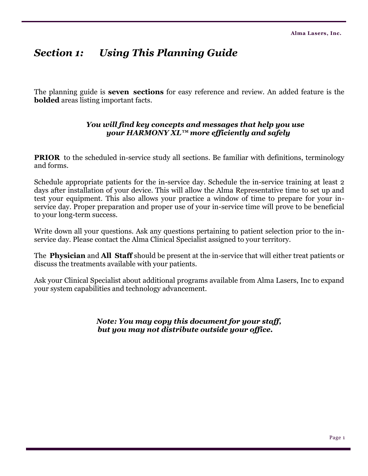# *Section 1: Using This Planning Guide*

The planning guide is **seven sections** for easy reference and review. An added feature is the **bolded** areas listing important facts.

### *You will find key concepts and messages that help you use your HARMONY XL™ more efficiently and safely*

**PRIOR** to the scheduled in-service study all sections. Be familiar with definitions, terminology and forms.

Schedule appropriate patients for the in-service day. Schedule the in-service training at least 2 days after installation of your device. This will allow the Alma Representative time to set up and test your equipment. This also allows your practice a window of time to prepare for your inservice day. Proper preparation and proper use of your in-service time will prove to be beneficial to your long-term success.

Write down all your questions. Ask any questions pertaining to patient selection prior to the inservice day. Please contact the Alma Clinical Specialist assigned to your territory.

The **Physician** and **All Staff** should be present at the in-service that will either treat patients or discuss the treatments available with your patients.

Ask your Clinical Specialist about additional programs available from Alma Lasers, Inc to expand your system capabilities and technology advancement.

> *Note: You may copy this document for your staff, but you may not distribute outside your office.*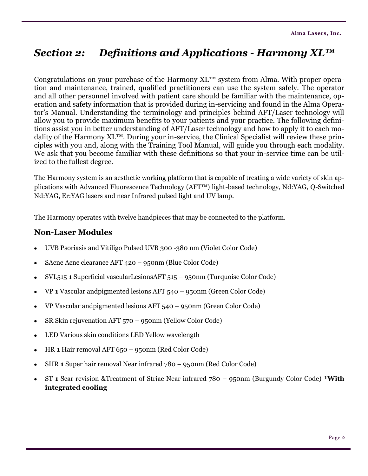# *Section 2: Definitions and Applications - Harmony XL™*

Congratulations on your purchase of the Harmony  $XL^{m}$  system from Alma. With proper operation and maintenance, trained, qualified practitioners can use the system safely. The operator and all other personnel involved with patient care should be familiar with the maintenance, operation and safety information that is provided during in-servicing and found in the Alma Operator's Manual. Understanding the terminology and principles behind AFT/Laser technology will allow you to provide maximum benefits to your patients and your practice. The following definitions assist you in better understanding of AFT/Laser technology and how to apply it to each modality of the Harmony XL™. During your in-service, the Clinical Specialist will review these principles with you and, along with the Training Tool Manual, will guide you through each modality. We ask that you become familiar with these definitions so that your in-service time can be utilized to the fullest degree.

The Harmony system is an aesthetic working platform that is capable of treating a wide variety of skin applications with Advanced Fluorescence Technology (AFT™) light-based technology, Nd:YAG, Q-Switched Nd:YAG, Er:YAG lasers and near Infrared pulsed light and UV lamp.

The Harmony operates with twelve handpieces that may be connected to the platform.

### **Non-Laser Modules**

- UVB Psoriasis and Vitiligo Pulsed UVB 300 -380 nm (Violet Color Code)
- SAcne Acne clearance AFT 420 950nm (Blue Color Code)
- SVL515 **1** Superficial vascularLesionsAFT 515 950nm (Turquoise Color Code)
- VP **1** Vascular andpigmented lesions AFT 540 950nm (Green Color Code)
- VP Vascular andpigmented lesions AFT 540 950nm (Green Color Code)
- SR Skin rejuvenation AFT 570 950nm (Yellow Color Code)  $\bullet$
- LED Various skin conditions LED Yellow wavelength  $\bullet$
- HR **1** Hair removal AFT 650 950nm (Red Color Code)  $\bullet$
- SHR **1** Super hair removal Near infrared 780 950nm (Red Color Code)
- ST **1** Scar revision &Treatment of Striae Near infrared 780 950nm (Burgundy Color Code) **With integrated cooling**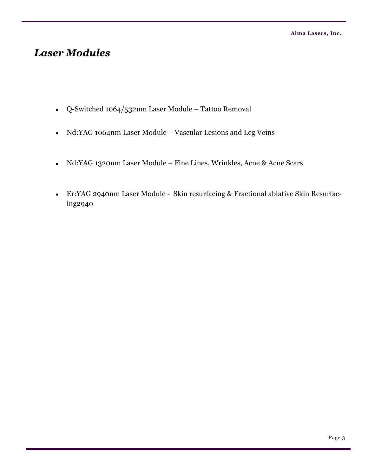# *Laser Modules*

- Q-Switched 1064/532nm Laser Module Tattoo Removal
- Nd:YAG 1064nm Laser Module Vascular Lesions and Leg Veins
- Nd:YAG 1320nm Laser Module Fine Lines, Wrinkles, Acne & Acne Scars  $\bullet$
- Er:YAG 2940nm Laser Module Skin resurfacing & Fractional ablative Skin Resurfacing2940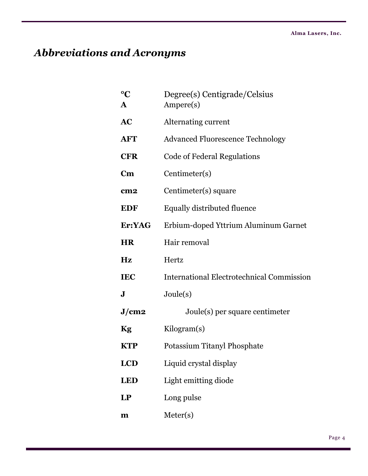# *Abbreviations and Acronyms*

| $\rm ^{o}C$<br>${\bf A}$ |                        | Degree(s) Centigrade/Celsius<br>Ampere(s)        |
|--------------------------|------------------------|--------------------------------------------------|
| <b>AC</b>                |                        | Alternating current                              |
|                          | <b>AFT</b>             | <b>Advanced Fluorescence Technology</b>          |
|                          | <b>CFR</b>             | <b>Code of Federal Regulations</b>               |
|                          | $\mathbf{C}\mathbf{m}$ | Centimeter(s)                                    |
|                          | cm <sub>2</sub>        | Centimeter(s) square                             |
|                          | <b>EDF</b>             | <b>Equally distributed fluence</b>               |
|                          | Er:YAG                 | Erbium-doped Yttrium Aluminum Garnet             |
|                          | <b>HR</b>              | Hair removal                                     |
| Hz                       |                        | Hertz                                            |
|                          | <b>IEC</b>             | <b>International Electrotechnical Commission</b> |
| ${\bf J}$                |                        | Joule(s)                                         |
|                          | J/cm2                  | Joule(s) per square centimeter                   |
| <b>Kg</b>                |                        | Kilogram(s)                                      |
|                          | <b>KTP</b>             | Potassium Titanyl Phosphate                      |
|                          | <b>LCD</b>             | Liquid crystal display                           |
|                          | <b>LED</b>             | Light emitting diode                             |
| LP                       |                        | Long pulse                                       |
| $\mathbf{m}$             |                        | Meter(s)                                         |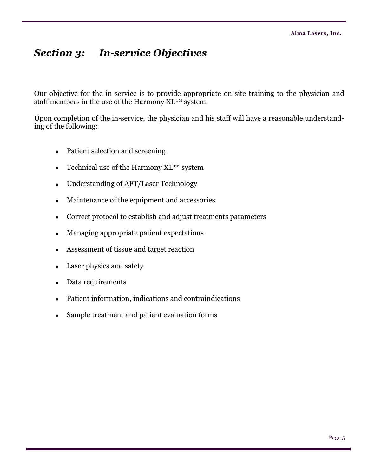# *Section 3: In-service Objectives*

Our objective for the in-service is to provide appropriate on-site training to the physician and staff members in the use of the Harmony XL™ system.

Upon completion of the in-service, the physician and his staff will have a reasonable understanding of the following:

- Patient selection and screening  $\bullet$
- Technical use of the Harmony XL™ system  $\bullet$
- Understanding of AFT/Laser Technology  $\bullet$
- Maintenance of the equipment and accessories  $\bullet$
- Correct protocol to establish and adjust treatments parameters  $\bullet$
- Managing appropriate patient expectations  $\bullet$
- Assessment of tissue and target reaction
- Laser physics and safety  $\bullet$
- Data requirements  $\bullet$
- Patient information, indications and contraindications  $\bullet$
- Sample treatment and patient evaluation forms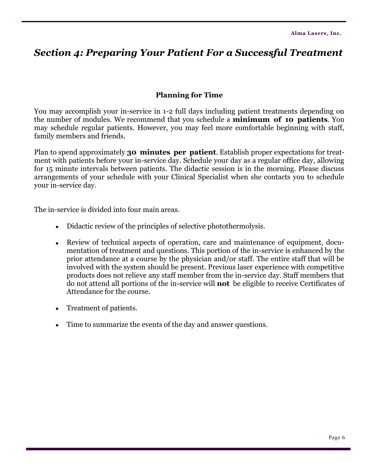# *Section 4: Preparing Your Patient For a Successful Treatment*

### **Planning for Time**

You may accomplish your in-service in 1-2 full days including patient treatments depending on the number of modules. We recommend that you schedule a **minimum of 10 patients**. You may schedule regular patients. However, you may feel more comfortable beginning with staff, family members and friends.

Plan to spend approximately **30 minutes per patient**. Establish proper expectations for treatment with patients before your in-service day. Schedule your day as a regular office day, allowing for 15 minute intervals between patients. The didactic session is in the morning. Please discuss arrangements of your schedule with your Clinical Specialist when she contacts you to schedule your in-service day.

The in-service is divided into four main areas.

- Didactic review of the principles of selective photothermolysis.
- Review of technical aspects of operation, care and maintenance of equipment, documentation of treatment and questions. This portion of the in-service is enhanced by the prior attendance at a course by the physician and/or staff. The entire staff that will be involved with the system should be present. Previous laser experience with competitive products does not relieve any staff member from the in-service day. Staff members that do not attend all portions of the in-service will **not** be eligible to receive Certificates of Attendance for the course.
- Treatment of patients.  $\bullet$
- Time to summarize the events of the day and answer questions.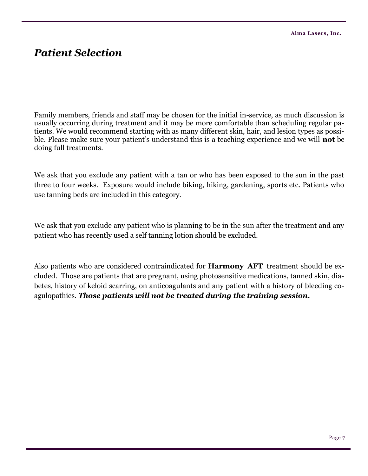# *Patient Selection*

Family members, friends and staff may be chosen for the initial in-service, as much discussion is usually occurring during treatment and it may be more comfortable than scheduling regular patients. We would recommend starting with as many different skin, hair, and lesion types as possible. Please make sure your patient's understand this is a teaching experience and we will **not** be doing full treatments.

We ask that you exclude any patient with a tan or who has been exposed to the sun in the past three to four weeks. Exposure would include biking, hiking, gardening, sports etc. Patients who use tanning beds are included in this category.

We ask that you exclude any patient who is planning to be in the sun after the treatment and any patient who has recently used a self tanning lotion should be excluded.

Also patients who are considered contraindicated for **Harmony AFT** treatment should be excluded. Those are patients that are pregnant, using photosensitive medications, tanned skin, diabetes, history of keloid scarring, on anticoagulants and any patient with a history of bleeding coagulopathies. *Those patients will not be treated during the training session.*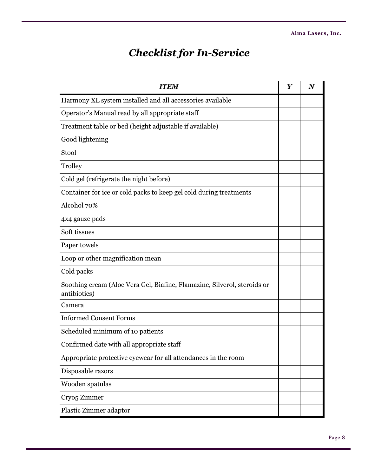# *Checklist for In-Service*

| <b>ITEM</b>                                                                              | $\boldsymbol{Y}$ | N |
|------------------------------------------------------------------------------------------|------------------|---|
| Harmony XL system installed and all accessories available                                |                  |   |
| Operator's Manual read by all appropriate staff                                          |                  |   |
| Treatment table or bed (height adjustable if available)                                  |                  |   |
| Good lightening                                                                          |                  |   |
| Stool                                                                                    |                  |   |
| Trolley                                                                                  |                  |   |
| Cold gel (refrigerate the night before)                                                  |                  |   |
| Container for ice or cold packs to keep gel cold during treatments                       |                  |   |
| Alcohol 70%                                                                              |                  |   |
| 4x4 gauze pads                                                                           |                  |   |
| Soft tissues                                                                             |                  |   |
| Paper towels                                                                             |                  |   |
| Loop or other magnification mean                                                         |                  |   |
| Cold packs                                                                               |                  |   |
| Soothing cream (Aloe Vera Gel, Biafine, Flamazine, Silverol, steroids or<br>antibiotics) |                  |   |
| Camera                                                                                   |                  |   |
| <b>Informed Consent Forms</b>                                                            |                  |   |
| Scheduled minimum of 10 patients                                                         |                  |   |
| Confirmed date with all appropriate staff                                                |                  |   |
| Appropriate protective eyewear for all attendances in the room                           |                  |   |
| Disposable razors                                                                        |                  |   |
| Wooden spatulas                                                                          |                  |   |
| Cryo <sub>5</sub> Zimmer                                                                 |                  |   |
| Plastic Zimmer adaptor                                                                   |                  |   |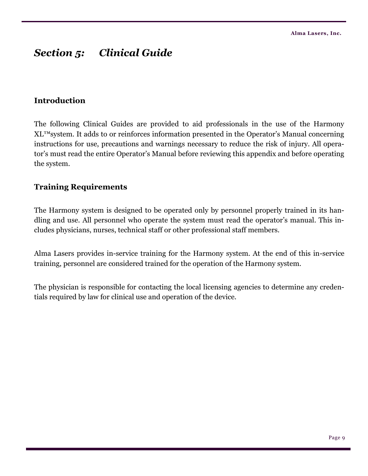# *Section 5: Clinical Guide*

### **Introduction**

The following Clinical Guides are provided to aid professionals in the use of the Harmony XL™system. It adds to or reinforces information presented in the Operator's Manual concerning instructions for use, precautions and warnings necessary to reduce the risk of injury. All operator's must read the entire Operator's Manual before reviewing this appendix and before operating the system.

### **Training Requirements**

The Harmony system is designed to be operated only by personnel properly trained in its handling and use. All personnel who operate the system must read the operator's manual. This includes physicians, nurses, technical staff or other professional staff members.

Alma Lasers provides in-service training for the Harmony system. At the end of this in-service training, personnel are considered trained for the operation of the Harmony system.

The physician is responsible for contacting the local licensing agencies to determine any credentials required by law for clinical use and operation of the device.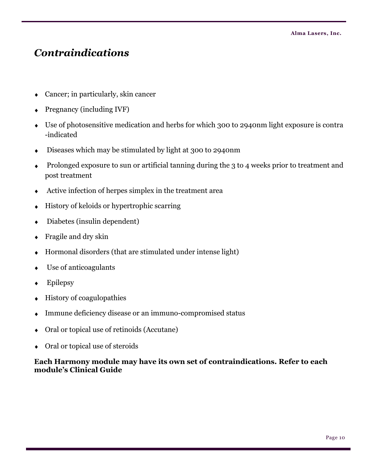# *Contraindications*

- Cancer; in particularly, skin cancer
- Pregnancy (including IVF)
- Use of photosensitive medication and herbs for which 300 to 2940nm light exposure is contra  $\blacklozenge$ -indicated
- Diseases which may be stimulated by light at 300 to 2940nm  $\blacklozenge$
- Prolonged exposure to sun or artificial tanning during the 3 to 4 weeks prior to treatment and  $\bullet$ post treatment
- Active infection of herpes simplex in the treatment area
- History of keloids or hypertrophic scarring  $\bullet$
- Diabetes (insulin dependent)  $\blacklozenge$
- Fragile and dry skin
- Hormonal disorders (that are stimulated under intense light)  $\blacklozenge$
- Use of anticoagulants
- Epilepsy  $\ddot{\bullet}$
- History of coagulopathies  $\bullet$
- Immune deficiency disease or an immuno-compromised status
- Oral or topical use of retinoids (Accutane)  $\bullet$
- Oral or topical use of steroids

### **Each Harmony module may have its own set of contraindications. Refer to each module's Clinical Guide**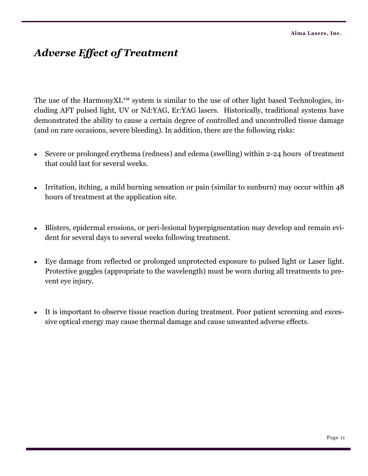# *Adverse Effect of Treatment*

The use of the HarmonyXL™ system is similar to the use of other light based Technologies, including AFT pulsed light, UV or Nd:YAG, Er:YAG lasers. Historically, traditional systems have demonstrated the ability to cause a certain degree of controlled and uncontrolled tissue damage (and on rare occasions, severe bleeding). In addition, there are the following risks:

- Severe or prolonged erythema (redness) and edema (swelling) within 2-24 hours of treatment that could last for several weeks.
- Irritation, itching, a mild burning sensation or pain (similar to sunburn) may occur within 48 hours of treatment at the application site.
- Blisters, epidermal erosions, or peri-lesional hyperpigmentation may develop and remain evident for several days to several weeks following treatment.
- Eye damage from reflected or prolonged unprotected exposure to pulsed light or Laser light. Protective goggles (appropriate to the wavelength) must be worn during all treatments to prevent eye injury.
- It is important to observe tissue reaction during treatment. Poor patient screening and excessive optical energy may cause thermal damage and cause unwanted adverse effects.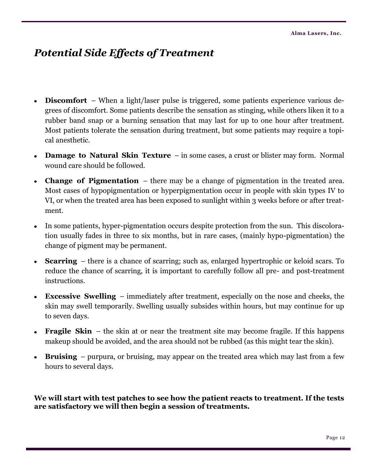# *Potential Side Effects of Treatment*

- **Discomfort** When a light/laser pulse is triggered, some patients experience various degrees of discomfort. Some patients describe the sensation as stinging, while others liken it to a rubber band snap or a burning sensation that may last for up to one hour after treatment. Most patients tolerate the sensation during treatment, but some patients may require a topical anesthetic.
- **Damage to Natural Skin Texture**  in some cases, a crust or blister may form. Normal wound care should be followed.
- **Change of Pigmentation**  there may be a change of pigmentation in the treated area. Most cases of hypopigmentation or hyperpigmentation occur in people with skin types IV to VI, or when the treated area has been exposed to sunlight within 3 weeks before or after treatment.
- In some patients, hyper-pigmentation occurs despite protection from the sun. This discoloration usually fades in three to six months, but in rare cases, (mainly hypo-pigmentation) the change of pigment may be permanent.
- **Scarring**  there is a chance of scarring; such as, enlarged hypertrophic or keloid scars. To reduce the chance of scarring, it is important to carefully follow all pre- and post-treatment instructions.
- **Excessive Swelling**  immediately after treatment, especially on the nose and cheeks, the skin may swell temporarily. Swelling usually subsides within hours, but may continue for up to seven days.
- **Fragile Skin** the skin at or near the treatment site may become fragile. If this happens makeup should be avoided, and the area should not be rubbed (as this might tear the skin).
- **Bruising**  purpura, or bruising, may appear on the treated area which may last from a few hours to several days.

**We will start with test patches to see how the patient reacts to treatment. If the tests are satisfactory we will then begin a session of treatments.**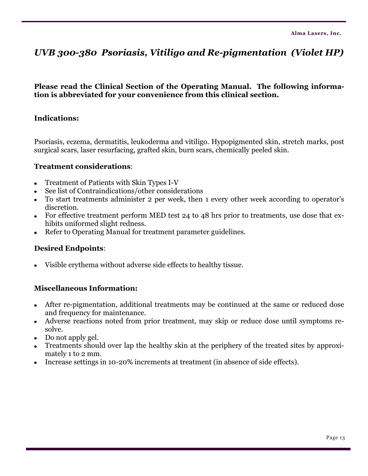# *UVB 300-380 Psoriasis, Vitiligo and Re-pigmentation (Violet HP)*

### **Please read the Clinical Section of the Operating Manual. The following information is abbreviated for your convenience from this clinical section.**

### **Indications:**

Psoriasis, eczema, dermatitis, leukoderma and vitiligo. Hypopigmented skin, stretch marks, post surgical scars, laser resurfacing, grafted skin, burn scars, chemically peeled skin.

### **Treatment considerations**:

- Treatment of Patients with Skin Types I-V
- See list of Contraindications/other considerations
- To start treatments administer 2 per week, then 1 every other week according to operator's discretion.
- For effective treatment perform MED test 24 to 48 hrs prior to treatments, use dose that exhibits uniformed slight redness.
- Refer to Operating Manual for treatment parameter guidelines.

### **Desired Endpoints**:

Visible erythema without adverse side effects to healthy tissue.

- After re-pigmentation, additional treatments may be continued at the same or reduced dose  $\bullet$ and frequency for maintenance.
- Adverse reactions noted from prior treatment, may skip or reduce dose until symptoms resolve.
- Do not apply gel.
- Treatments should over lap the healthy skin at the periphery of the treated sites by approximately 1 to 2 mm.
- Increase settings in 10-20% increments at treatment (in absence of side effects).  $\bullet$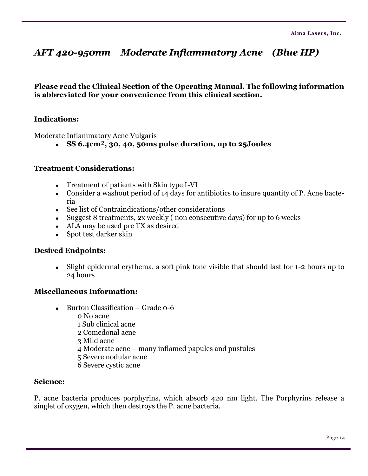# *AFT 420-950nm Moderate Inflammatory Acne (Blue HP)*

**Please read the Clinical Section of the Operating Manual. The following information is abbreviated for your convenience from this clinical section.**

### **Indications:**

Moderate Inflammatory Acne Vulgaris

**SS 6.4cm², 30, 40, 50ms pulse duration, up to 25Joules**

### **Treatment Considerations:**

- Treatment of patients with Skin type I-VI
- Consider a washout period of 14 days for antibiotics to insure quantity of P. Acne bacteria
- See list of Contraindications/other considerations
- Suggest 8 treatments, 2x weekly ( non consecutive days) for up to 6 weeks
- ALA may be used pre TX as desired
- Spot test darker skin

### **Desired Endpoints:**

Slight epidermal erythema, a soft pink tone visible that should last for 1-2 hours up to 24 hours

### **Miscellaneous Information:**

- $\bullet$  Burton Classification Grade 0-6
	- 0 No acne
	- 1 Sub clinical acne
	- 2 Comedonal acne
	- 3 Mild acne
	- 4 Moderate acne many inflamed papules and pustules
	- 5 Severe nodular acne
	- 6 Severe cystic acne

### **Science:**

P. acne bacteria produces porphyrins, which absorb 420 nm light. The Porphyrins release a singlet of oxygen, which then destroys the P. acne bacteria.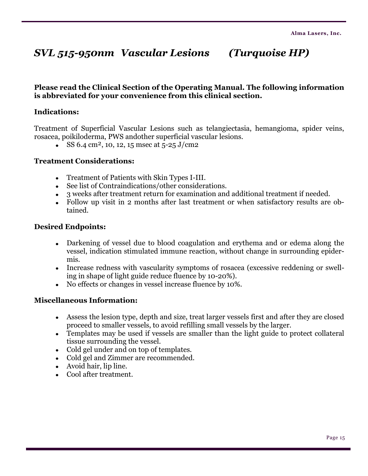# *SVL 515-950nm Vascular Lesions (Turquoise HP)*

### **Please read the Clinical Section of the Operating Manual. The following information is abbreviated for your convenience from this clinical section.**

### **Indications:**

Treatment of Superficial Vascular Lesions such as telangiectasia, hemangioma, spider veins, rosacea, poikiloderma, PWS andother superficial vascular lesions.

SS 6.4 cm<sup>2</sup>, 10, 12, 15 msec at  $5$ -25 J/cm2

#### **Treatment Considerations:**

- Treatment of Patients with Skin Types I-III.
- See list of Contraindications/other considerations.
- 3 weeks after treatment return for examination and additional treatment if needed.
- Follow up visit in 2 months after last treatment or when satisfactory results are obtained.

#### **Desired Endpoints:**

- Darkening of vessel due to blood coagulation and erythema and or edema along the vessel, indication stimulated immune reaction, without change in surrounding epidermis.
- Increase redness with vascularity symptoms of rosacea (excessive reddening or swelling in shape of light guide reduce fluence by 10-20%).
- No effects or changes in vessel increase fluence by 10%.

- Assess the lesion type, depth and size, treat larger vessels first and after they are closed proceed to smaller vessels, to avoid refilling small vessels by the larger.
- Templates may be used if vessels are smaller than the light guide to protect collateral tissue surrounding the vessel.
- Cold gel under and on top of templates.
- Cold gel and Zimmer are recommended.
- Avoid hair, lip line.
- Cool after treatment.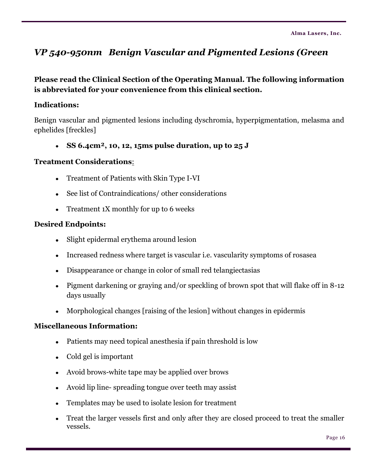# *VP 540-950nm Benign Vascular and Pigmented Lesions (Green*

### **Please read the Clinical Section of the Operating Manual. The following information is abbreviated for your convenience from this clinical section.**

### **Indications:**

Benign vascular and pigmented lesions including dyschromia, hyperpigmentation, melasma and ephelides [freckles]

**SS 6.4cm², 10, 12, 15ms pulse duration, up to 25 J** 

### **Treatment Considerations**:

- Treatment of Patients with Skin Type I-VI
- See list of Contraindications/ other considerations
- Treatment 1X monthly for up to 6 weeks

### **Desired Endpoints:**

- Slight epidermal erythema around lesion
- Increased redness where target is vascular i.e. vascularity symptoms of rosasea
- Disappearance or change in color of small red telangiectasias
- Pigment darkening or graying and/or speckling of brown spot that will flake off in 8-12 days usually
- Morphological changes [raising of the lesion] without changes in epidermis

- Patients may need topical anesthesia if pain threshold is low
- Cold gel is important
- Avoid brows-white tape may be applied over brows
- Avoid lip line- spreading tongue over teeth may assist
- Templates may be used to isolate lesion for treatment
- Treat the larger vessels first and only after they are closed proceed to treat the smaller vessels.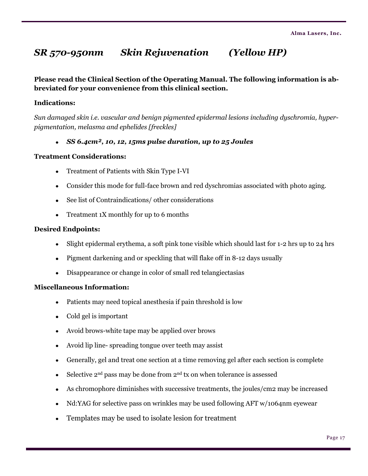# *SR 570-950nm Skin Rejuvenation (Yellow HP)*

**Please read the Clinical Section of the Operating Manual. The following information is abbreviated for your convenience from this clinical section.**

#### **Indications:**

*Sun damaged skin i.e. vascular and benign pigmented epidermal lesions including dyschromia, hyperpigmentation, melasma and ephelides [freckles]*

*SS 6.4cm², 10, 12, 15ms pulse duration, up to 25 Joules*

#### **Treatment Considerations:**

- Treatment of Patients with Skin Type I-VI
- Consider this mode for full-face brown and red dyschromias associated with photo aging.
- See list of Contraindications/ other considerations
- Treatment 1X monthly for up to 6 months

#### **Desired Endpoints:**

- $\bullet$ Slight epidermal erythema, a soft pink tone visible which should last for 1-2 hrs up to 24 hrs
- Pigment darkening and or speckling that will flake off in 8-12 days usually
- Disappearance or change in color of small red telangiectasias

- Patients may need topical anesthesia if pain threshold is low
- Cold gel is important
- Avoid brows-white tape may be applied over brows
- Avoid lip line- spreading tongue over teeth may assist
- Generally, gel and treat one section at a time removing gel after each section is complete  $\bullet$
- $\bullet$  Selective 2<sup>nd</sup> pass may be done from 2<sup>nd</sup> tx on when tolerance is assessed
- As chromophore diminishes with successive treatments, the joules/cm2 may be increased
- Nd:YAG for selective pass on wrinkles may be used following AFT w/1064nm eyewear  $\bullet$
- Templates may be used to isolate lesion for treatment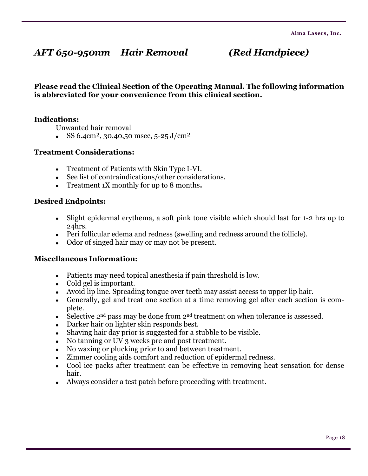# *AFT 650-950nm Hair Removal (Red Handpiece)*

**Please read the Clinical Section of the Operating Manual. The following information is abbreviated for your convenience from this clinical section.**

### **Indications:**

Unwanted hair removal

SS 6.4cm<sup>2</sup>, 30,40,50 msec, 5-25 J/cm<sup>2</sup>

### **Treatment Considerations:**

- Treatment of Patients with Skin Type I-VI.
- See list of contraindications/other considerations.
- Treatment 1X monthly for up to 8 months**.**

#### **Desired Endpoints:**

- Slight epidermal erythema, a soft pink tone visible which should last for 1-2 hrs up to 24hrs.
- Peri follicular edema and redness (swelling and redness around the follicle).
- Odor of singed hair may or may not be present.

- Patients may need topical anesthesia if pain threshold is low.
- Cold gel is important.
- Avoid lip line. Spreading tongue over teeth may assist access to upper lip hair.
- Generally, gel and treat one section at a time removing gel after each section is complete.
- $\bullet$  Selective 2<sup>nd</sup> pass may be done from 2<sup>nd</sup> treatment on when tolerance is assessed.
- Darker hair on lighter skin responds best.
- Shaving hair day prior is suggested for a stubble to be visible.
- No tanning or UV 3 weeks pre and post treatment.
- No waxing or plucking prior to and between treatment.
- Zimmer cooling aids comfort and reduction of epidermal redness.  $\bullet$
- Cool ice packs after treatment can be effective in removing heat sensation for dense hair.
- Always consider a test patch before proceeding with treatment.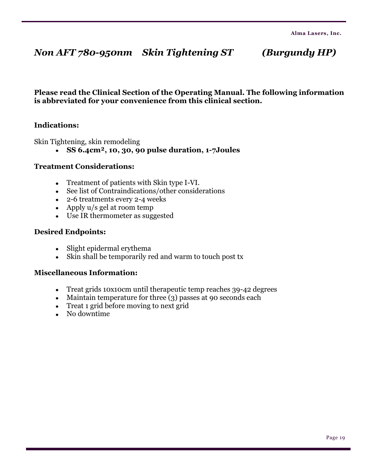# *Non AFT 780-950nm Skin Tightening ST (Burgundy HP)*

### **Please read the Clinical Section of the Operating Manual. The following information is abbreviated for your convenience from this clinical section.**

### **Indications:**

Skin Tightening, skin remodeling

**SS 6.4cm², 10, 30, 90 pulse duration, 1-7Joules**

#### **Treatment Considerations:**

- Treatment of patients with Skin type I-VI.
- See list of Contraindications/other considerations
- 2-6 treatments every 2-4 weeks
- Apply u/s gel at room temp
- Use IR thermometer as suggested

#### **Desired Endpoints:**

- Slight epidermal erythema
- Skin shall be temporarily red and warm to touch post tx

- Treat grids 10x10cm until therapeutic temp reaches 39-42 degrees
- Maintain temperature for three (3) passes at 90 seconds each
- Treat 1 grid before moving to next grid
- No downtime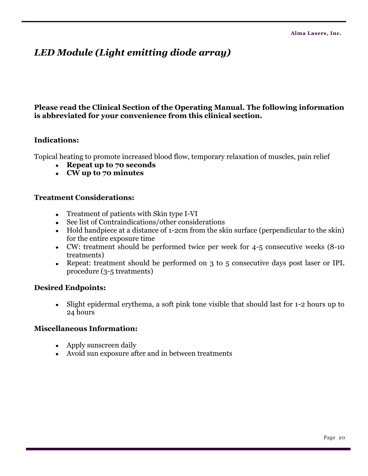# *LED Module (Light emitting diode array)*

### **Please read the Clinical Section of the Operating Manual. The following information is abbreviated for your convenience from this clinical section.**

### **Indications:**

Topical heating to promote increased blood flow, temporary relaxation of muscles, pain relief

- **Repeat up to 70 seconds**
- **CW up to 70 minutes**

#### **Treatment Considerations:**

- Treatment of patients with Skin type I-VI
- See list of Contraindications/other considerations
- Hold handpiece at a distance of 1-2cm from the skin surface (perpendicular to the skin) for the entire exposure time
- CW: treatment should be performed twice per week for 4-5 consecutive weeks (8-10 treatments)
- Repeat: treatment should be performed on 3 to 5 consecutive days post laser or IPL procedure (3-5 treatments)

### **Desired Endpoints:**

Slight epidermal erythema, a soft pink tone visible that should last for 1-2 hours up to  $\bullet$ 24 hours

- Apply sunscreen daily
- Avoid sun exposure after and in between treatments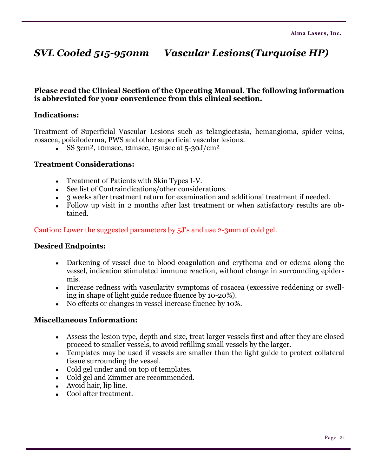# *SVL Cooled 515-950nm Vascular Lesions(Turquoise HP)*

### **Please read the Clinical Section of the Operating Manual. The following information is abbreviated for your convenience from this clinical section.**

### **Indications:**

Treatment of Superficial Vascular Lesions such as telangiectasia, hemangioma, spider veins, rosacea, poikiloderma, PWS and other superficial vascular lesions.

SS 3cm<sup>2</sup>, 10msec, 12msec, 15msec at  $5-30J/cm^2$ 

#### **Treatment Considerations:**

- Treatment of Patients with Skin Types I-V.
- See list of Contraindications/other considerations.
- 3 weeks after treatment return for examination and additional treatment if needed.
- Follow up visit in 2 months after last treatment or when satisfactory results are obtained.

### Caution: Lower the suggested parameters by 5J's and use 2-3mm of cold gel.

#### **Desired Endpoints:**

- Darkening of vessel due to blood coagulation and erythema and or edema along the vessel, indication stimulated immune reaction, without change in surrounding epidermis.
- Increase redness with vascularity symptoms of rosacea (excessive reddening or swelling in shape of light guide reduce fluence by 10-20%).
- No effects or changes in vessel increase fluence by 10%.

- Assess the lesion type, depth and size, treat larger vessels first and after they are closed proceed to smaller vessels, to avoid refilling small vessels by the larger.
- Templates may be used if vessels are smaller than the light guide to protect collateral tissue surrounding the vessel.
- Cold gel under and on top of templates.
- Cold gel and Zimmer are recommended.
- Avoid hair, lip line.
- Cool after treatment.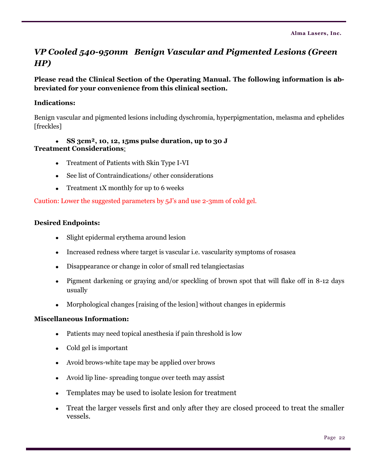## *VP Cooled 540-950nm Benign Vascular and Pigmented Lesions (Green HP)*

### **Please read the Clinical Section of the Operating Manual. The following information is abbreviated for your convenience from this clinical section.**

### **Indications:**

Benign vascular and pigmented lesions including dyschromia, hyperpigmentation, melasma and ephelides [freckles]

### **SS 3cm², 10, 12, 15ms pulse duration, up to 30 J Treatment Considerations**:

- Treatment of Patients with Skin Type I-VI
- See list of Contraindications/ other considerations
- Treatment 1X monthly for up to 6 weeks

Caution: Lower the suggested parameters by 5J's and use 2-3mm of cold gel.

### **Desired Endpoints:**

- Slight epidermal erythema around lesion
- Increased redness where target is vascular i.e. vascularity symptoms of rosasea  $\bullet$
- Disappearance or change in color of small red telangiectasias
- Pigment darkening or graying and/or speckling of brown spot that will flake off in 8-12 days usually
- Morphological changes [raising of the lesion] without changes in epidermis

- Patients may need topical anesthesia if pain threshold is low  $\bullet$
- Cold gel is important
- Avoid brows-white tape may be applied over brows
- Avoid lip line- spreading tongue over teeth may assist
- Templates may be used to isolate lesion for treatment
- Treat the larger vessels first and only after they are closed proceed to treat the smaller vessels.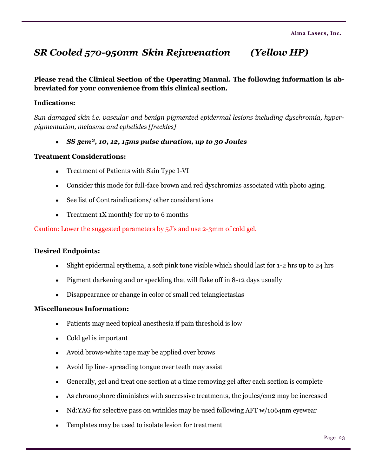# *SR Cooled 570-950nm Skin Rejuvenation (Yellow HP)*

**Please read the Clinical Section of the Operating Manual. The following information is abbreviated for your convenience from this clinical section.**

#### **Indications:**

*Sun damaged skin i.e. vascular and benign pigmented epidermal lesions including dyschromia, hyperpigmentation, melasma and ephelides [freckles]*

*SS 3cm², 10, 12, 15ms pulse duration, up to 30 Joules*

#### **Treatment Considerations:**

- Treatment of Patients with Skin Type I-VI
- Consider this mode for full-face brown and red dyschromias associated with photo aging.
- See list of Contraindications/ other considerations
- Treatment 1X monthly for up to 6 months

Caution: Lower the suggested parameters by 5J's and use 2-3mm of cold gel.

#### **Desired Endpoints:**

- Slight epidermal erythema, a soft pink tone visible which should last for 1-2 hrs up to 24 hrs
- Pigment darkening and or speckling that will flake off in 8-12 days usually
- Disappearance or change in color of small red telangiectasias

- Patients may need topical anesthesia if pain threshold is low
- Cold gel is important
- Avoid brows-white tape may be applied over brows
- Avoid lip line- spreading tongue over teeth may assist
- Generally, gel and treat one section at a time removing gel after each section is complete
- As chromophore diminishes with successive treatments, the joules/cm2 may be increased  $\bullet$
- Nd:YAG for selective pass on wrinkles may be used following AFT w/1064nm eyewear  $\bullet$
- Templates may be used to isolate lesion for treatment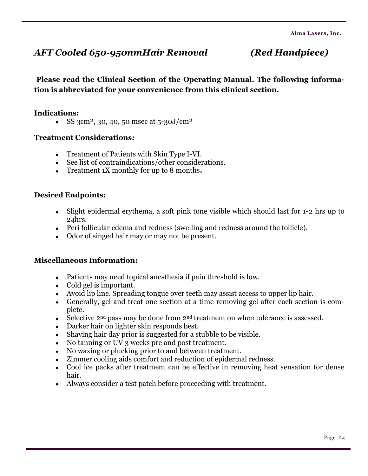# *AFT Cooled 650-950nmHair Removal (Red Handpiece)*

**Please read the Clinical Section of the Operating Manual. The following information is abbreviated for your convenience from this clinical section.**

### **Indications:**

SS 3cm<sup>2</sup>, 30, 40, 50 msec at  $5-30J/cm^2$ 

### **Treatment Considerations:**

- Treatment of Patients with Skin Type I-VI.
- See list of contraindications/other considerations.
- Treatment 1X monthly for up to 8 months**.**

### **Desired Endpoints:**

- Slight epidermal erythema, a soft pink tone visible which should last for 1-2 hrs up to 24hrs.
- Peri follicular edema and redness (swelling and redness around the follicle).
- Odor of singed hair may or may not be present.

- Patients may need topical anesthesia if pain threshold is low.
- Cold gel is important.
- Avoid lip line. Spreading tongue over teeth may assist access to upper lip hair.
- Generally, gel and treat one section at a time removing gel after each section is complete.
- $\bullet$  Selective 2<sup>nd</sup> pass may be done from 2<sup>nd</sup> treatment on when tolerance is assessed.
- Darker hair on lighter skin responds best.
- Shaving hair day prior is suggested for a stubble to be visible.
- No tanning or UV 3 weeks pre and post treatment.
- No waxing or plucking prior to and between treatment.
- Zimmer cooling aids comfort and reduction of epidermal redness.
- Cool ice packs after treatment can be effective in removing heat sensation for dense hair.
- Always consider a test patch before proceeding with treatment.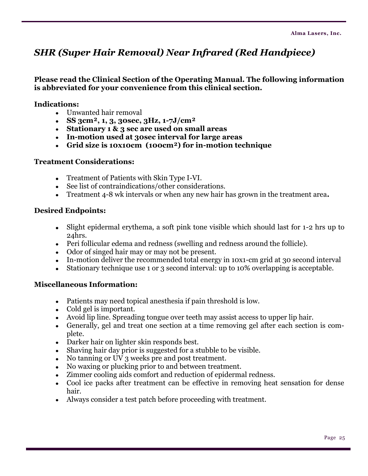# *SHR (Super Hair Removal) Near Infrared (Red Handpiece)*

**Please read the Clinical Section of the Operating Manual. The following information is abbreviated for your convenience from this clinical section.**

**Indications:**

- Unwanted hair removal
- **SS 3cm², 1, 3, 30sec, 3Hz, 1-7J/cm²**
- **Stationary 1 & 3 sec are used on small areas**
- **In-motion used at 30sec interval for large areas**
- **Grid size is 10x10cm (100cm²) for in-motion technique**

### **Treatment Considerations:**

- Treatment of Patients with Skin Type I-VI.
- See list of contraindications/other considerations.
- Treatment 4-8 wk intervals or when any new hair has grown in the treatment area**.**

### **Desired Endpoints:**

- Slight epidermal erythema, a soft pink tone visible which should last for 1-2 hrs up to 24hrs.
- Peri follicular edema and redness (swelling and redness around the follicle).
- Odor of singed hair may or may not be present.
- In-motion deliver the recommended total energy in 10x1-cm grid at 30 second interval
- Stationary technique use 1 or 3 second interval: up to 10% overlapping is acceptable.  $\bullet$

- Patients may need topical anesthesia if pain threshold is low.
- Cold gel is important.
- Avoid lip line. Spreading tongue over teeth may assist access to upper lip hair.
- Generally, gel and treat one section at a time removing gel after each section is complete.
- Darker hair on lighter skin responds best.
- Shaving hair day prior is suggested for a stubble to be visible.
- No tanning or UV 3 weeks pre and post treatment.
- No waxing or plucking prior to and between treatment.
- Zimmer cooling aids comfort and reduction of epidermal redness.  $\bullet$
- Cool ice packs after treatment can be effective in removing heat sensation for dense hair.
- Always consider a test patch before proceeding with treatment.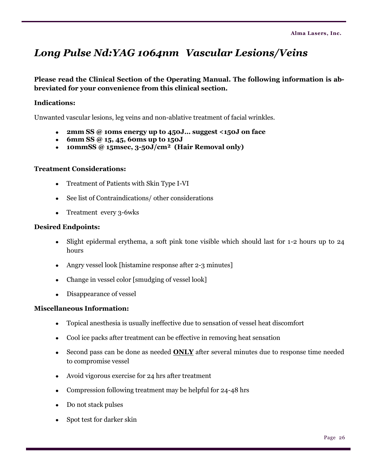# *Long Pulse Nd:YAG 1064nm Vascular Lesions/Veins*

### **Please read the Clinical Section of the Operating Manual. The following information is abbreviated for your convenience from this clinical section.**

### **Indications:**

Unwanted vascular lesions, leg veins and non-ablative treatment of facial wrinkles.

- **2mm SS @ 10ms energy up to 450J… suggest <150J on face**
- **6mm SS @ 15, 45, 60ms up to 150J**
- **10mmSS @ 15msec, 3-50J/cm² (Hair Removal only)**

#### **Treatment Considerations:**

- Treatment of Patients with Skin Type I-VI
- See list of Contraindications/ other considerations
- Treatment every 3-6wks

#### **Desired Endpoints:**

- Slight epidermal erythema, a soft pink tone visible which should last for 1-2 hours up to 24 hours
- Angry vessel look [histamine response after 2-3 minutes]
- Change in vessel color [smudging of vessel look]
- Disappearance of vessel  $\bullet$

- Topical anesthesia is usually ineffective due to sensation of vessel heat discomfort
- Cool ice packs after treatment can be effective in removing heat sensation
- Second pass can be done as needed **ONLY** after several minutes due to response time needed to compromise vessel
- Avoid vigorous exercise for 24 hrs after treatment
- Compression following treatment may be helpful for 24-48 hrs
- Do not stack pulses
- Spot test for darker skin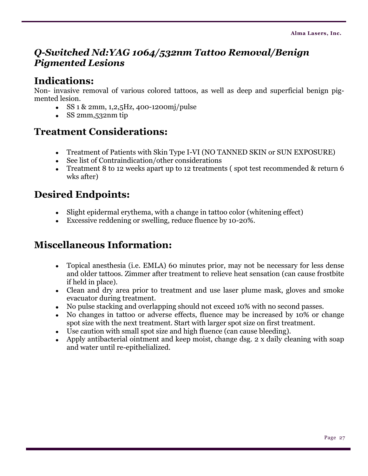# *Q-Switched Nd:YAG 1064/532nm Tattoo Removal/Benign Pigmented Lesions*

## **Indications:**

Non- invasive removal of various colored tattoos, as well as deep and superficial benign pigmented lesion.

- $\cdot$  SS 1 & 2mm, 1,2,5Hz, 400-1200mj/pulse
- $\cdot$  SS 2mm, 532nm tip

# **Treatment Considerations:**

- Treatment of Patients with Skin Type I-VI (NO TANNED SKIN or SUN EXPOSURE)
- See list of Contraindication/other considerations
- Treatment 8 to 12 weeks apart up to 12 treatments ( spot test recommended & return 6 wks after)

# **Desired Endpoints:**

- Slight epidermal erythema, with a change in tattoo color (whitening effect)
- Excessive reddening or swelling, reduce fluence by 10-20%.

- Topical anesthesia (i.e. EMLA) 60 minutes prior, may not be necessary for less dense and older tattoos. Zimmer after treatment to relieve heat sensation (can cause frostbite if held in place).
- Clean and dry area prior to treatment and use laser plume mask, gloves and smoke evacuator during treatment.
- No pulse stacking and overlapping should not exceed 10% with no second passes.
- No changes in tattoo or adverse effects, fluence may be increased by 10% or change spot size with the next treatment. Start with larger spot size on first treatment.
- Use caution with small spot size and high fluence (can cause bleeding).
- Apply antibacterial ointment and keep moist, change dsg. 2 x daily cleaning with soap and water until re-epithelialized.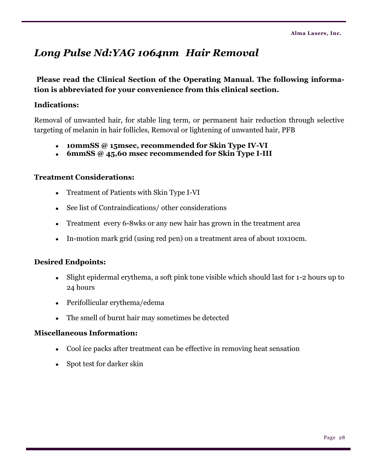# *Long Pulse Nd:YAG 1064nm Hair Removal*

### **Please read the Clinical Section of the Operating Manual. The following information is abbreviated for your convenience from this clinical section.**

### **Indications:**

Removal of unwanted hair, for stable ling term, or permanent hair reduction through selective targeting of melanin in hair follicles, Removal or lightening of unwanted hair, PFB

- **10mmSS @ 15msec, recommended for Skin Type IV-VI**
- **6mmSS @ 45,60 msec recommended for Skin Type I-III**

### **Treatment Considerations:**

- Treatment of Patients with Skin Type I-VI  $\bullet$
- See list of Contraindications/ other considerations
- Treatment every 6-8wks or any new hair has grown in the treatment area
- In-motion mark grid (using red pen) on a treatment area of about 10x10cm.

### **Desired Endpoints:**

- Slight epidermal erythema, a soft pink tone visible which should last for 1-2 hours up to  $\bullet$ 24 hours
- Perifollicular erythema/edema
- The smell of burnt hair may sometimes be detected

- Cool ice packs after treatment can be effective in removing heat sensation
- Spot test for darker skin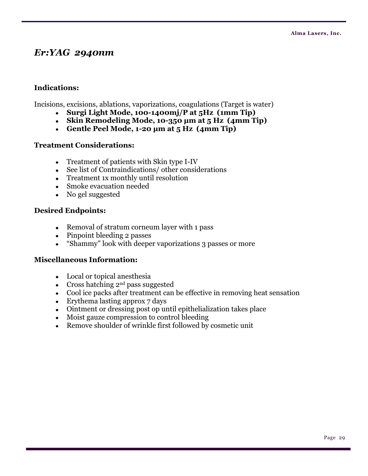## *Er:YAG 2940nm*

### **Indications:**

Incisions, excisions, ablations, vaporizations, coagulations (Target is water)

- **Surgi Light Mode, 100-1400mj/P at 5Hz (1mm Tip)**
- **Skin Remodeling Mode, 10-350 μm at 5 Hz (4mm Tip)**
- **Gentle Peel Mode, 1-20 μm at 5 Hz (4mm Tip)**

### **Treatment Considerations:**

- Treatment of patients with Skin type I-IV
- See list of Contraindications/ other considerations
- Treatment 1x monthly until resolution
- Smoke evacuation needed
- No gel suggested

### **Desired Endpoints:**

- Removal of stratum corneum layer with 1 pass
- Pinpoint bleeding 2 passes
- ―Shammy‖ look with deeper vaporizations 3 passes or more  $\bullet$

- Local or topical anesthesia
- Cross hatching  $2^{nd}$  pass suggested
- Cool ice packs after treatment can be effective in removing heat sensation
- $\bullet$  Erythema lasting approx 7 days
- Ointment or dressing post op until epithelialization takes place
- Moist gauze compression to control bleeding
- Remove shoulder of wrinkle first followed by cosmetic unit  $\bullet$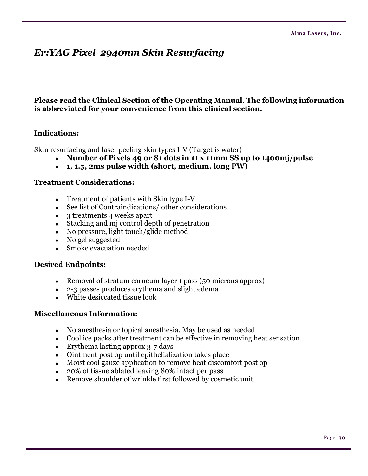# *Er:YAG Pixel 2940nm Skin Resurfacing*

### **Please read the Clinical Section of the Operating Manual. The following information is abbreviated for your convenience from this clinical section.**

### **Indications:**

Skin resurfacing and laser peeling skin types I-V (Target is water)

- **Number of Pixels 49 or 81 dots in 11 x 11mm SS up to 1400mj/pulse**
- **1, 1.5, 2ms pulse width (short, medium, long PW)**

### **Treatment Considerations:**

- Treatment of patients with Skin type I-V
- See list of Contraindications/ other considerations
- 3 treatments 4 weeks apart
- Stacking and mj control depth of penetration
- No pressure, light touch/glide method
- No gel suggested
- Smoke evacuation needed

### **Desired Endpoints:**

- Removal of stratum corneum layer 1 pass (50 microns approx)
- 2-3 passes produces erythema and slight edema
- White desiccated tissue look

- No anesthesia or topical anesthesia. May be used as needed
- Cool ice packs after treatment can be effective in removing heat sensation
- Erythema lasting approx 3-7 days
- Ointment post op until epithelialization takes place
- Moist cool gauze application to remove heat discomfort post op
- 20% of tissue ablated leaving 80% intact per pass
- Remove shoulder of wrinkle first followed by cosmetic unit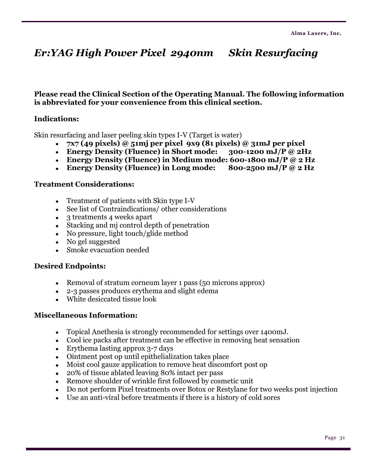# *Er:YAG High Power Pixel 2940nm Skin Resurfacing*

**Please read the Clinical Section of the Operating Manual. The following information is abbreviated for your convenience from this clinical section.**

### **Indications:**

Skin resurfacing and laser peeling skin types I-V (Target is water)

- **7x7 (49 pixels) @ 51mj per pixel 9x9 (81 pixels) @ 31mJ per pixel**
- **Energy Density (Fluence) in Short mode: 300-1200 mJ/P @ 2Hz**
- **Energy Density (Fluence) in Medium mode: 600-1800 mJ/P @ 2 Hz**
- **Energy Density (Fluence) in Long mode: 800-2500 mJ/P @ 2 Hz**

#### **Treatment Considerations:**

- Treatment of patients with Skin type I-V
- See list of Contraindications/ other considerations
- 3 treatments 4 weeks apart
- Stacking and mj control depth of penetration
- No pressure, light touch/glide method
- No gel suggested
- Smoke evacuation needed

#### **Desired Endpoints:**

- Removal of stratum corneum layer 1 pass (50 microns approx)
- 2-3 passes produces erythema and slight edema
- White desiccated tissue look

- Topical Anethesia is strongly recommended for settings over 1400mJ.  $\bullet$
- Cool ice packs after treatment can be effective in removing heat sensation
- Erythema lasting approx 3-7 days
- Ointment post op until epithelialization takes place
- Moist cool gauze application to remove heat discomfort post op
- 20% of tissue ablated leaving 80% intact per pass
- Remove shoulder of wrinkle first followed by cosmetic unit
- Do not perform Pixel treatments over Botox or Restylane for two weeks post injection
- Use an anti-viral before treatments if there is a history of cold sores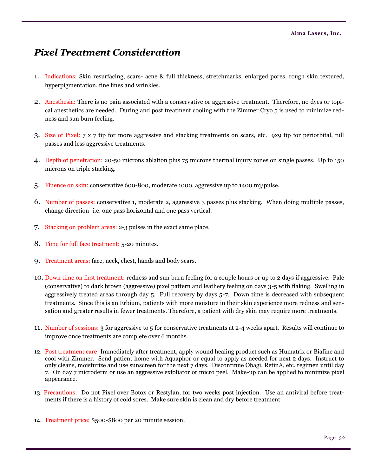# *Pixel Treatment Consideration*

- 1. Indications: Skin resurfacing, scars- acne & full thickness, stretchmarks, enlarged pores, rough skin textured, hyperpigmentation, fine lines and wrinkles.
- 2. Anesthesia: There is no pain associated with a conservative or aggressive treatment. Therefore, no dyes or topical anesthetics are needed. During and post treatment cooling with the Zimmer Cryo 5 is used to minimize redness and sun burn feeling.
- 3. Size of Pixel: 7 x 7 tip for more aggressive and stacking treatments on scars, etc. 9x9 tip for periorbital, full passes and less aggressive treatments.
- 4. Depth of penetration: 20-50 microns ablation plus 75 microns thermal injury zones on single passes. Up to 150 microns on triple stacking.
- 5. Fluence on skin: conservative 600-800, moderate 1000, aggressive up to 1400 mj/pulse.
- 6. Number of passes: conservative 1, moderate 2, aggressive 3 passes plus stacking. When doing multiple passes, change direction- i.e. one pass horizontal and one pass vertical.
- 7. Stacking on problem areas: 2-3 pulses in the exact same place.
- 8. Time for full face treatment: 5-20 minutes.
- 9. Treatment areas: face, neck, chest, hands and body scars.
- 10. Down time on first treatment: redness and sun burn feeling for a couple hours or up to 2 days if aggressive. Pale (conservative) to dark brown (aggressive) pixel pattern and leathery feeling on days 3-5 with flaking. Swelling in aggressively treated areas through day 5. Full recovery by days 5-7. Down time is decreased with subsequent treatments. Since this is an Erbium, patients with more moisture in their skin experience more redness and sensation and greater results in fewer treatments. Therefore, a patient with dry skin may require more treatments.
- 11. Number of sessions: 3 for aggressive to 5 for conservative treatments at 2-4 weeks apart. Results will continue to improve once treatments are complete over 6 months.
- 12. Post treatment care: Immediately after treatment, apply wound healing product such as Humatrix or Biafine and cool with Zimmer. Send patient home with Aquaphor or equal to apply as needed for next 2 days. Instruct to only cleans, moisturize and use sunscreen for the next 7 days. Discontinue Obagi, RetinA, etc. regimen until day 7. On day 7 microderm or use an aggressive exfoliator or micro peel. Make-up can be applied to minimize pixel appearance.
- 13. Precautions: Do not Pixel over Botox or Restylan, for two weeks post injection. Use an antiviral before treatments if there is a history of cold sores. Make sure skin is clean and dry before treatment.
- 14. Treatment price: \$500-\$800 per 20 minute session.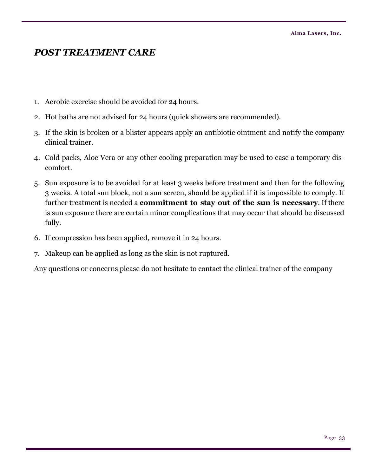## *POST TREATMENT CARE*

- 1. Aerobic exercise should be avoided for 24 hours.
- 2. Hot baths are not advised for 24 hours (quick showers are recommended).
- 3. If the skin is broken or a blister appears apply an antibiotic ointment and notify the company clinical trainer.
- 4. Cold packs, Aloe Vera or any other cooling preparation may be used to ease a temporary discomfort.
- 5. Sun exposure is to be avoided for at least 3 weeks before treatment and then for the following 3 weeks. A total sun block, not a sun screen, should be applied if it is impossible to comply. If further treatment is needed a **commitment to stay out of the sun is necessary**. If there is sun exposure there are certain minor complications that may occur that should be discussed fully.
- 6. If compression has been applied, remove it in 24 hours.
- 7. Makeup can be applied as long as the skin is not ruptured.

Any questions or concerns please do not hesitate to contact the clinical trainer of the company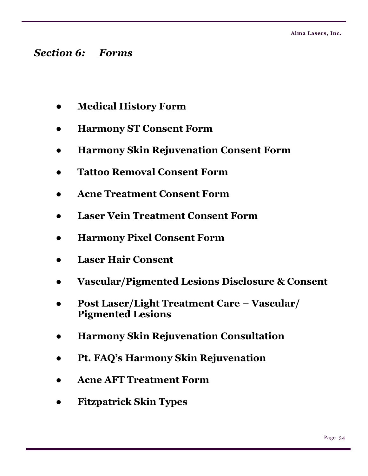# *Section 6: Forms*

- **● Medical History Form**
- **● Harmony ST Consent Form**
- **● Harmony Skin Rejuvenation Consent Form**
- **● Tattoo Removal Consent Form**
- **● Acne Treatment Consent Form**
- **● Laser Vein Treatment Consent Form**
- **● Harmony Pixel Consent Form**
- **● Laser Hair Consent**
- **● Vascular/Pigmented Lesions Disclosure & Consent**
- **● Post Laser/Light Treatment Care – Vascular/ Pigmented Lesions**
- **● Harmony Skin Rejuvenation Consultation**
- **● Pt. FAQ's Harmony Skin Rejuvenation**
- **● Acne AFT Treatment Form**
- **● Fitzpatrick Skin Types**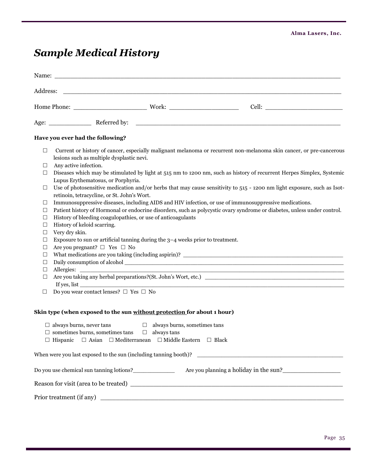# *Sample Medical History*

| Address:<br><u> 1989 - Johann Stein, marwolaethau a bhann an t-Amhainn an t-Amhainn an t-Amhainn an t-Amhainn an t-Amhainn an </u><br>Have you ever had the following?<br>Current or history of cancer, especially malignant melanoma or recurrent non-melanoma skin cancer, or pre-cancerous<br>$\Box$<br>lesions such as multiple dysplastic nevi.<br>Any active infection.<br>⊔<br>Diseases which may be stimulated by light at 515 nm to 1200 nm, such as history of recurrent Herpes Simplex, Systemic<br>□<br>Lupus Erythematosus, or Porphyria.<br>Use of photosensitive medication and/or herbs that may cause sensitivity to 515 - 1200 nm light exposure, such as Isot-<br>⊔<br>retinoin, tetracycline, or St. John's Wort.<br>Immunosuppressive diseases, including AIDS and HIV infection, or use of immunosuppressive medications.<br>⊔<br>Patient history of Hormonal or endocrine disorders, such as polycystic ovary syndrome or diabetes, unless under control.<br>□<br>History of bleeding coagulopathies, or use of anticoagulants<br>⊔<br>History of keloid scarring.<br>⊔<br>Very dry skin.<br>⊔<br>Exposure to sun or artificial tanning during the $3-4$ weeks prior to treatment.<br>⊔<br>Are you pregnant? $\Box$ Yes $\Box$ No<br>⊔<br>⊔<br>□<br>□<br>□<br>Do you wear contact lenses? $\Box$ Yes $\Box$ No<br>□<br>Skin type (when exposed to the sun without protection for about 1 hour)<br>$\Box$ always burns, never tans<br>$\Box$ always burns, sometimes tans<br>$\Box$ sometimes burns, sometimes tans $\Box$ always tans<br>$\Box\text{ Hispanic }\quad \Box \text{ Asian }\quad \Box \text{ Mediterranean }\quad \Box \text{ Middle Eastern }\quad \Box \text{ Black}$ |                          |
|-------------------------------------------------------------------------------------------------------------------------------------------------------------------------------------------------------------------------------------------------------------------------------------------------------------------------------------------------------------------------------------------------------------------------------------------------------------------------------------------------------------------------------------------------------------------------------------------------------------------------------------------------------------------------------------------------------------------------------------------------------------------------------------------------------------------------------------------------------------------------------------------------------------------------------------------------------------------------------------------------------------------------------------------------------------------------------------------------------------------------------------------------------------------------------------------------------------------------------------------------------------------------------------------------------------------------------------------------------------------------------------------------------------------------------------------------------------------------------------------------------------------------------------------------------------------------------------------------------------------------------------------------------------------------------------------------------------|--------------------------|
|                                                                                                                                                                                                                                                                                                                                                                                                                                                                                                                                                                                                                                                                                                                                                                                                                                                                                                                                                                                                                                                                                                                                                                                                                                                                                                                                                                                                                                                                                                                                                                                                                                                                                                             |                          |
|                                                                                                                                                                                                                                                                                                                                                                                                                                                                                                                                                                                                                                                                                                                                                                                                                                                                                                                                                                                                                                                                                                                                                                                                                                                                                                                                                                                                                                                                                                                                                                                                                                                                                                             |                          |
|                                                                                                                                                                                                                                                                                                                                                                                                                                                                                                                                                                                                                                                                                                                                                                                                                                                                                                                                                                                                                                                                                                                                                                                                                                                                                                                                                                                                                                                                                                                                                                                                                                                                                                             |                          |
|                                                                                                                                                                                                                                                                                                                                                                                                                                                                                                                                                                                                                                                                                                                                                                                                                                                                                                                                                                                                                                                                                                                                                                                                                                                                                                                                                                                                                                                                                                                                                                                                                                                                                                             |                          |
|                                                                                                                                                                                                                                                                                                                                                                                                                                                                                                                                                                                                                                                                                                                                                                                                                                                                                                                                                                                                                                                                                                                                                                                                                                                                                                                                                                                                                                                                                                                                                                                                                                                                                                             |                          |
|                                                                                                                                                                                                                                                                                                                                                                                                                                                                                                                                                                                                                                                                                                                                                                                                                                                                                                                                                                                                                                                                                                                                                                                                                                                                                                                                                                                                                                                                                                                                                                                                                                                                                                             |                          |
|                                                                                                                                                                                                                                                                                                                                                                                                                                                                                                                                                                                                                                                                                                                                                                                                                                                                                                                                                                                                                                                                                                                                                                                                                                                                                                                                                                                                                                                                                                                                                                                                                                                                                                             |                          |
|                                                                                                                                                                                                                                                                                                                                                                                                                                                                                                                                                                                                                                                                                                                                                                                                                                                                                                                                                                                                                                                                                                                                                                                                                                                                                                                                                                                                                                                                                                                                                                                                                                                                                                             |                          |
|                                                                                                                                                                                                                                                                                                                                                                                                                                                                                                                                                                                                                                                                                                                                                                                                                                                                                                                                                                                                                                                                                                                                                                                                                                                                                                                                                                                                                                                                                                                                                                                                                                                                                                             |                          |
|                                                                                                                                                                                                                                                                                                                                                                                                                                                                                                                                                                                                                                                                                                                                                                                                                                                                                                                                                                                                                                                                                                                                                                                                                                                                                                                                                                                                                                                                                                                                                                                                                                                                                                             |                          |
|                                                                                                                                                                                                                                                                                                                                                                                                                                                                                                                                                                                                                                                                                                                                                                                                                                                                                                                                                                                                                                                                                                                                                                                                                                                                                                                                                                                                                                                                                                                                                                                                                                                                                                             |                          |
|                                                                                                                                                                                                                                                                                                                                                                                                                                                                                                                                                                                                                                                                                                                                                                                                                                                                                                                                                                                                                                                                                                                                                                                                                                                                                                                                                                                                                                                                                                                                                                                                                                                                                                             | Prior treatment (if any) |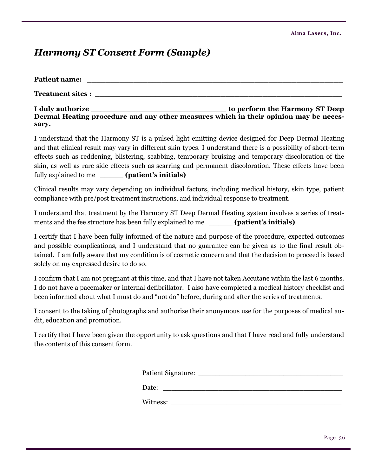## *Harmony ST Consent Form (Sample)*

| <b>Patient name:</b>    |                                |
|-------------------------|--------------------------------|
| <b>Treatment sites:</b> |                                |
| I duly authorize        | to nerform the Harmony ST Deen |

**I duly authorize \_\_\_\_\_\_\_\_\_\_\_\_\_\_\_\_\_\_\_\_\_\_\_\_\_\_\_\_\_ to perform the Harmony ST Deep Dermal Heating procedure and any other measures which in their opinion may be necessary.**

I understand that the Harmony ST is a pulsed light emitting device designed for Deep Dermal Heating and that clinical result may vary in different skin types. I understand there is a possibility of short-term effects such as reddening, blistering, scabbing, temporary bruising and temporary discoloration of the skin, as well as rare side effects such as scarring and permanent discoloration. These effects have been fully explained to me **\_\_\_\_\_ (patient's initials)**

Clinical results may vary depending on individual factors, including medical history, skin type, patient compliance with pre/post treatment instructions, and individual response to treatment.

I understand that treatment by the Harmony ST Deep Dermal Heating system involves a series of treatments and the fee structure has been fully explained to me **\_\_\_\_\_ (patient's initials)**

I certify that I have been fully informed of the nature and purpose of the procedure, expected outcomes and possible complications, and I understand that no guarantee can be given as to the final result obtained. I am fully aware that my condition is of cosmetic concern and that the decision to proceed is based solely on my expressed desire to do so.

I confirm that I am not pregnant at this time, and that I have not taken Accutane within the last 6 months. I do not have a pacemaker or internal defibrillator. I also have completed a medical history checklist and been informed about what I must do and "not do" before, during and after the series of treatments.

I consent to the taking of photographs and authorize their anonymous use for the purposes of medical audit, education and promotion.

I certify that I have been given the opportunity to ask questions and that I have read and fully understand the contents of this consent form.

| <b>Patient Signature:</b> |  |
|---------------------------|--|
|                           |  |
| Date:                     |  |

Witness: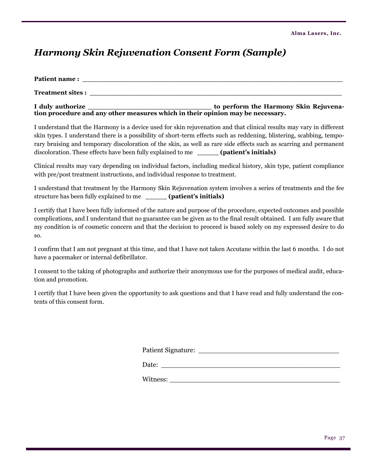# *Harmony Skin Rejuvenation Consent Form (Sample)*

| <b>Patient name:</b>    |                                                                                |
|-------------------------|--------------------------------------------------------------------------------|
| <b>Treatment sites:</b> |                                                                                |
| I duly authorize        | to perform the Harmony Skin Rejuvena-                                          |
|                         | tion procedure and any other measures which in their opinion may be necessary. |

I understand that the Harmony is a device used for skin rejuvenation and that clinical results may vary in different skin types. I understand there is a possibility of short-term effects such as reddening, blistering, scabbing, temporary bruising and temporary discoloration of the skin, as well as rare side effects such as scarring and permanent discoloration. These effects have been fully explained to me **\_\_\_\_\_ (patient's initials)**

Clinical results may vary depending on individual factors, including medical history, skin type, patient compliance with pre/post treatment instructions, and individual response to treatment.

I understand that treatment by the Harmony Skin Rejuvenation system involves a series of treatments and the fee structure has been fully explained to me **\_\_\_\_\_ (patient's initials)**

I certify that I have been fully informed of the nature and purpose of the procedure, expected outcomes and possible complications, and I understand that no guarantee can be given as to the final result obtained. I am fully aware that my condition is of cosmetic concern and that the decision to proceed is based solely on my expressed desire to do so.

I confirm that I am not pregnant at this time, and that I have not taken Accutane within the last 6 months. I do not have a pacemaker or internal defibrillator.

I consent to the taking of photographs and authorize their anonymous use for the purposes of medical audit, education and promotion.

I certify that I have been given the opportunity to ask questions and that I have read and fully understand the contents of this consent form.

| <b>Patient Signature:</b> |  |
|---------------------------|--|
|                           |  |

Date:

Witness: \_\_\_\_\_\_\_\_\_\_\_\_\_\_\_\_\_\_\_\_\_\_\_\_\_\_\_\_\_\_\_\_\_\_\_\_\_\_\_\_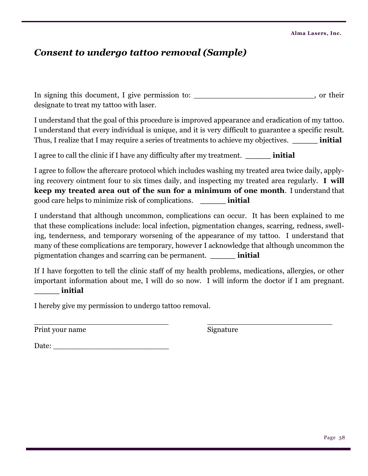## *Consent to undergo tattoo removal (Sample)*

In signing this document, I give permission to: \_\_\_\_\_\_\_\_\_\_\_\_\_\_\_\_\_\_\_\_\_\_\_\_\_\_\_\_\_\_\_\_, or their designate to treat my tattoo with laser.

I understand that the goal of this procedure is improved appearance and eradication of my tattoo. I understand that every individual is unique, and it is very difficult to guarantee a specific result. Thus, I realize that I may require a series of treatments to achieve my objectives. **\_\_\_\_\_ initial**

I agree to call the clinic if I have any difficulty after my treatment. **\_\_\_\_\_ initial**

I agree to follow the aftercare protocol which includes washing my treated area twice daily, applying recovery ointment four to six times daily, and inspecting my treated area regularly. **I will keep my treated area out of the sun for a minimum of one month**. I understand that good care helps to minimize risk of complications. **\_\_\_\_\_ initial**

I understand that although uncommon, complications can occur. It has been explained to me that these complications include: local infection, pigmentation changes, scarring, redness, swelling, tenderness, and temporary worsening of the appearance of my tattoo. I understand that many of these complications are temporary, however I acknowledge that although uncommon the pigmentation changes and scarring can be permanent. **\_\_\_\_\_ initial**

If I have forgotten to tell the clinic staff of my health problems, medications, allergies, or other important information about me, I will do so now. I will inform the doctor if I am pregnant. **\_\_\_\_\_ initial**

I hereby give my permission to undergo tattoo removal.

\_\_\_\_\_\_\_\_\_\_\_\_\_\_\_\_\_\_\_\_\_\_\_\_\_\_\_\_\_ \_\_\_\_\_\_\_\_\_\_\_\_\_\_\_\_\_\_\_\_\_\_\_\_\_\_\_ Print your name Signature

Date: \_\_\_\_\_\_\_\_\_\_\_\_\_\_\_\_\_\_\_\_\_\_\_\_\_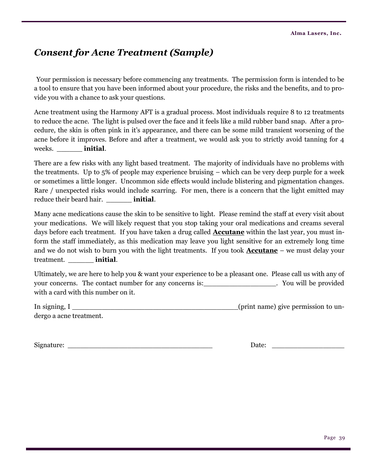## *Consent for Acne Treatment (Sample)*

Your permission is necessary before commencing any treatments. The permission form is intended to be a tool to ensure that you have been informed about your procedure, the risks and the benefits, and to provide you with a chance to ask your questions.

Acne treatment using the Harmony AFT is a gradual process. Most individuals require 8 to 12 treatments to reduce the acne. The light is pulsed over the face and it feels like a mild rubber band snap. After a procedure, the skin is often pink in it's appearance, and there can be some mild transient worsening of the acne before it improves. Before and after a treatment, we would ask you to strictly avoid tanning for 4 weeks. \_\_\_\_\_\_ **initial**.

There are a few risks with any light based treatment. The majority of individuals have no problems with the treatments. Up to 5% of people may experience bruising – which can be very deep purple for a week or sometimes a little longer. Uncommon side effects would include blistering and pigmentation changes. Rare / unexpected risks would include scarring. For men, there is a concern that the light emitted may reduce their beard hair. \_\_\_\_\_\_ **initial**.

Many acne medications cause the skin to be sensitive to light. Please remind the staff at every visit about your medications. We will likely request that you stop taking your oral medications and creams several days before each treatment. If you have taken a drug called **Accutane** within the last year, you must inform the staff immediately, as this medication may leave you light sensitive for an extremely long time and we do not wish to burn you with the light treatments. If you took **Accutane** – we must delay your treatment. \_\_\_\_\_\_ **initial**.

Ultimately, we are here to help you & want your experience to be a pleasant one. Please call us with any of your concerns. The contact number for any concerns is:\_\_\_\_\_\_\_\_\_\_\_\_\_\_\_\_\_\_\_. You will be provided with a card with this number on it.

| In signing, I           | (print name) give permission to un- |
|-------------------------|-------------------------------------|
| dergo a acne treatment. |                                     |

| Signature: |  |
|------------|--|
|            |  |

 $Date:$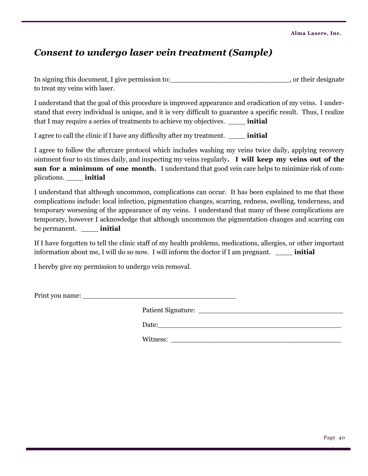# *Consent to undergo laser vein treatment (Sample)*

In signing this document, I give permission to:  $\qquad \qquad$ , or their designate to treat my veins with laser.

I understand that the goal of this procedure is improved appearance and eradication of my veins. I understand that every individual is unique, and it is very difficult to guarantee a specific result. Thus, I realize that I may require a series of treatments to achieve my objectives. \_\_\_\_ **initial**

I agree to call the clinic if I have any difficulty after my treatment. \_\_\_\_ **initial**

I agree to follow the aftercare protocol which includes washing my veins twice daily, applying recovery ointment four to six times daily, and inspecting my veins regularly**. I will keep my veins out of the sun for a minimum of one month.** I understand that good vein care helps to minimize risk of complications. \_\_\_\_ **initial**

I understand that although uncommon, complications can occur. It has been explained to me that these complications include: local infection, pigmentation changes, scarring, redness, swelling, tenderness, and temporary worsening of the appearance of my veins. I understand that many of these complications are temporary, however I acknowledge that although uncommon the pigmentation changes and scarring can be permanent. \_\_\_\_ **initial**

If I have forgotten to tell the clinic staff of my health problems, medications, allergies, or other important information about me, I will do so now. I will inform the doctor if I am pregnant. \_\_\_\_ **initial**

I hereby give my permission to undergo vein removal.

Print you name: \_\_\_\_\_\_\_\_\_\_\_\_\_\_\_\_\_\_\_\_\_\_\_\_\_\_\_\_\_\_\_\_\_\_\_\_

Patient Signature: \_\_\_\_\_\_\_\_\_\_\_\_\_\_\_\_\_\_\_\_\_\_\_\_\_\_\_\_\_\_\_\_\_\_

Date:\_\_\_\_\_\_\_\_\_\_\_\_\_\_\_\_\_\_\_\_\_\_\_\_\_\_\_\_\_\_\_\_\_\_\_\_\_\_\_\_\_\_\_

Witness: \_\_\_\_\_\_\_\_\_\_\_\_\_\_\_\_\_\_\_\_\_\_\_\_\_\_\_\_\_\_\_\_\_\_\_\_\_\_\_\_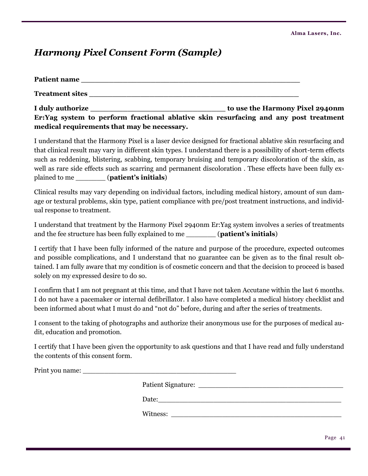# *Harmony Pixel Consent Form (Sample)*

| Patient name                                                                                                                                                                                                                        |                                 |
|-------------------------------------------------------------------------------------------------------------------------------------------------------------------------------------------------------------------------------------|---------------------------------|
| <b>Treatment sites</b> the state of the state of the state of the state of the state of the state of the state of the state of the state of the state of the state of the state of the state of the state of the state of the state |                                 |
| I duly authorize                                                                                                                                                                                                                    | to use the Harmony Pixel 2940nm |
| Er: Yag system to perform fractional ablative skin resurfacing and any post treatment                                                                                                                                               |                                 |
| medical requirements that may be necessary.                                                                                                                                                                                         |                                 |

I understand that the Harmony Pixel is a laser device designed for fractional ablative skin resurfacing and that clinical result may vary in different skin types. I understand there is a possibility of short-term effects such as reddening, blistering, scabbing, temporary bruising and temporary discoloration of the skin, as well as rare side effects such as scarring and permanent discoloration . These effects have been fully explained to me \_\_\_\_\_\_\_ (**patient's initials**)

Clinical results may vary depending on individual factors, including medical history, amount of sun damage or textural problems, skin type, patient compliance with pre/post treatment instructions, and individual response to treatment.

I understand that treatment by the Harmony Pixel 2940nm Er:Yag system involves a series of treatments and the fee structure has been fully explained to me \_\_\_\_\_\_\_ (**patient's initials**)

I certify that I have been fully informed of the nature and purpose of the procedure, expected outcomes and possible complications, and I understand that no guarantee can be given as to the final result obtained. I am fully aware that my condition is of cosmetic concern and that the decision to proceed is based solely on my expressed desire to do so.

I confirm that I am not pregnant at this time, and that I have not taken Accutane within the last 6 months. I do not have a pacemaker or internal defibrillator. I also have completed a medical history checklist and been informed about what I must do and "not do" before, during and after the series of treatments.

I consent to the taking of photographs and authorize their anonymous use for the purposes of medical audit, education and promotion.

I certify that I have been given the opportunity to ask questions and that I have read and fully understand the contents of this consent form.

Print you name: \_\_\_\_\_\_\_\_\_\_\_\_\_\_\_\_\_\_\_\_\_\_\_\_\_\_\_\_\_\_\_\_\_\_\_\_

Patient Signature:

Date:\_\_\_\_\_\_\_\_\_\_\_\_\_\_\_\_\_\_\_\_\_\_\_\_\_\_\_\_\_\_\_\_\_\_\_\_\_\_\_\_\_\_\_

Witness: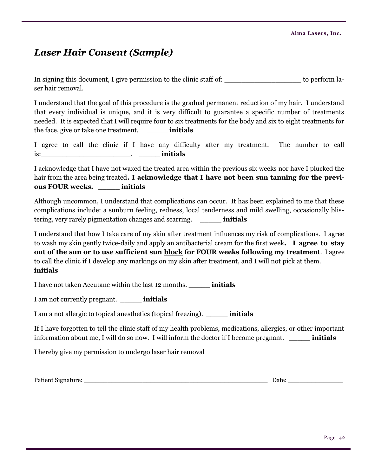# *Laser Hair Consent (Sample)*

In signing this document, I give permission to the clinic staff of: \_\_\_\_\_\_\_\_\_\_\_\_\_\_\_\_\_\_\_\_\_\_\_\_\_\_\_\_\_\_\_\_ to perform laser hair removal.

I understand that the goal of this procedure is the gradual permanent reduction of my hair. I understand that every individual is unique, and it is very difficult to guarantee a specific number of treatments needed. It is expected that I will require four to six treatments for the body and six to eight treatments for the face, give or take one treatment. \_\_\_\_\_ **initials**

I agree to call the clinic if I have any difficulty after my treatment. The number to call is:\_\_\_\_\_\_\_\_\_\_\_\_\_\_\_\_\_\_\_\_\_. \_\_\_\_\_ **initials**

I acknowledge that I have not waxed the treated area within the previous six weeks nor have I plucked the hair from the area being treated**. I acknowledge that I have not been sun tanning for the previous FOUR weeks.** \_\_\_\_\_ **initials**

Although uncommon, I understand that complications can occur. It has been explained to me that these complications include: a sunburn feeling, redness, local tenderness and mild swelling, occasionally blistering, very rarely pigmentation changes and scarring. \_\_\_\_\_ **initials**

I understand that how I take care of my skin after treatment influences my risk of complications. I agree to wash my skin gently twice-daily and apply an antibacterial cream for the first week**. I agree to stay out of the sun or to use sufficient sun block for FOUR weeks following my treatment**. I agree to call the clinic if I develop any markings on my skin after treatment, and I will not pick at them. \_\_\_\_\_ **initials**

I have not taken Accutane within the last 12 months. \_\_\_\_\_ **initials**

I am not currently pregnant. \_\_\_\_\_ **initials**

I am a not allergic to topical anesthetics (topical freezing). \_\_\_\_\_ **initials**

If I have forgotten to tell the clinic staff of my health problems, medications, allergies, or other important information about me, I will do so now. I will inform the doctor if I become pregnant. \_\_\_\_\_ **initials**

I hereby give my permission to undergo laser hair removal

Patient Signature: \_\_\_\_\_\_\_\_\_\_\_\_\_\_\_\_\_\_\_\_\_\_\_\_\_\_\_\_\_\_\_\_\_\_\_\_\_\_\_\_\_\_\_\_\_\_\_ Date: \_\_\_\_\_\_\_\_\_\_\_\_\_\_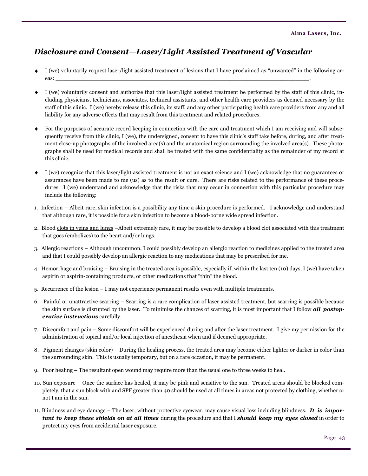## *Disclosure and Consent—Laser/Light Assisted Treatment of Vascular*

- I (we) voluntarily request laser/light assisted treatment of lesions that I have proclaimed as "unwanted" in the following areas: \_\_\_\_\_\_\_\_\_\_\_\_\_\_\_\_\_\_\_\_\_\_\_\_\_\_\_\_\_\_\_\_\_\_\_\_\_\_\_\_\_\_\_\_\_\_\_\_\_\_\_\_\_\_\_\_\_\_\_\_\_\_\_\_\_\_\_\_\_\_\_\_\_.
- I (we) voluntarily consent and authorize that this laser/light assisted treatment be performed by the staff of this clinic, including physicians, technicians, associates, technical assistants, and other health care providers as deemed necessary by the staff of this clinic. I (we) hereby release this clinic, its staff, and any other participating health care providers from any and all liability for any adverse effects that may result from this treatment and related procedures.
- For the purposes of accurate record keeping in connection with the care and treatment which I am receiving and will subsequently receive from this clinic, I (we), the undersigned, consent to have this clinic's staff take before, during, and after treatment close-up photographs of the involved area(s) and the anatomical region surrounding the involved area(s). These photographs shall be used for medical records and shall be treated with the same confidentiality as the remainder of my record at this clinic.
- I (we) recognize that this laser/light assisted treatment is not an exact science and I (we) acknowledge that no guarantees or assurances have been made to me (us) as to the result or cure. There are risks related to the performance of these procedures. I (we) understand and acknowledge that the risks that may occur in connection with this particular procedure may include the following:
- 1. Infection Albeit rare, skin infection is a possibility any time a skin procedure is performed. I acknowledge and understand that although rare, it is possible for a skin infection to become a blood-borne wide spread infection.
- 2. Blood clots in veins and lungs -Albeit extremely rare, it may be possible to develop a blood clot associated with this treatment that goes (embolizes) to the heart and/or lungs.
- 3. Allergic reactions Although uncommon, I could possibly develop an allergic reaction to medicines applied to the treated area and that I could possibly develop an allergic reaction to any medications that may be prescribed for me.
- 4. Hemorrhage and bruising Bruising in the treated area is possible, especially if, within the last ten (10) days, I (we) have taken aspirin or aspirin-containing products, or other medications that "thin" the blood.
- 5. Recurrence of the lesion I may not experience permanent results even with multiple treatments.
- 6. Painful or unattractive scarring Scarring is a rare complication of laser assisted treatment, but scarring is possible because the skin surface is disrupted by the laser. To minimize the chances of scarring, it is most important that I follow *all postoperative instructions* carefully.
- 7. Discomfort and pain Some discomfort will be experienced during and after the laser treatment. I give my permission for the administration of topical and/or local injection of anesthesia when and if deemed appropriate.
- 8. Pigment changes (skin color) During the healing process, the treated area may become either lighter or darker in color than the surrounding skin. This is usually temporary, but on a rare occasion, it may be permanent.
- 9. Poor healing The resultant open wound may require more than the usual one to three weeks to heal.
- 10. Sun exposure Once the surface has healed, it may be pink and sensitive to the sun. Treated areas should be blocked completely, that a sun block with and SPF greater than 40 should be used at all times in areas not protected by clothing, whether or not I am in the sun.
- 11. Blindness and eye damage The laser, without protective eyewear, may cause visual loss including blindness. *It is important to keep these shields on at all times* during the procedure and that I *should keep my eyes closed* in order to protect my eyes from accidental laser exposure.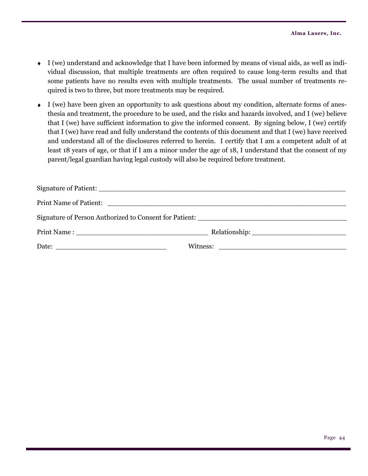- I (we) understand and acknowledge that I have been informed by means of visual aids, as well as individual discussion, that multiple treatments are often required to cause long-term results and that some patients have no results even with multiple treatments. The usual number of treatments required is two to three, but more treatments may be required.
- I (we) have been given an opportunity to ask questions about my condition, alternate forms of anesthesia and treatment, the procedure to be used, and the risks and hazards involved, and I (we) believe that I (we) have sufficient information to give the informed consent. By signing below, I (we) certify that I (we) have read and fully understand the contents of this document and that I (we) have received and understand all of the disclosures referred to herein. I certify that I am a competent adult of at least 18 years of age, or that if I am a minor under the age of 18, I understand that the consent of my parent/legal guardian having legal custody will also be required before treatment.

| Date: $\qquad \qquad$ |  |
|-----------------------|--|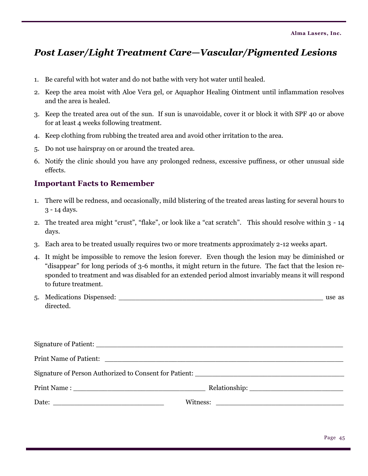# *Post Laser/Light Treatment Care—Vascular/Pigmented Lesions*

- 1. Be careful with hot water and do not bathe with very hot water until healed.
- 2. Keep the area moist with Aloe Vera gel, or Aquaphor Healing Ointment until inflammation resolves and the area is healed.
- 3. Keep the treated area out of the sun. If sun is unavoidable, cover it or block it with SPF 40 or above for at least 4 weeks following treatment.
- 4. Keep clothing from rubbing the treated area and avoid other irritation to the area.
- 5. Do not use hairspray on or around the treated area.
- 6. Notify the clinic should you have any prolonged redness, excessive puffiness, or other unusual side effects.

### **Important Facts to Remember**

- 1. There will be redness, and occasionally, mild blistering of the treated areas lasting for several hours to 3 - 14 days.
- 2. The treated area might "crust", "flake", or look like a "cat scratch". This should resolve within 3 14 days.
- 3. Each area to be treated usually requires two or more treatments approximately 2-12 weeks apart.
- 4. It might be impossible to remove the lesion forever. Even though the lesion may be diminished or "disappear" for long periods of 3-6 months, it might return in the future. The fact that the lesion responded to treatment and was disabled for an extended period almost invariably means it will respond to future treatment.
- 5. Medications Dispensed: \_\_\_\_\_\_\_\_\_\_\_\_\_\_\_\_\_\_\_\_\_\_\_\_\_\_\_\_\_\_\_\_\_\_\_\_\_\_\_\_\_\_\_\_\_\_\_\_ use as directed.

| Print Name of Patient:                                   |  |  |
|----------------------------------------------------------|--|--|
|                                                          |  |  |
|                                                          |  |  |
| Date: $\frac{1}{\sqrt{1-\frac{1}{2}} \cdot \frac{1}{2}}$ |  |  |
|                                                          |  |  |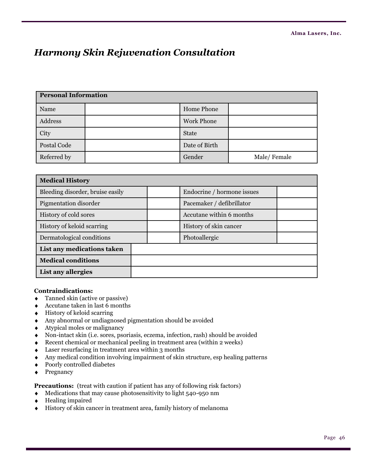# *Harmony Skin Rejuvenation Consultation*

| <b>Personal Information</b> |  |                   |             |
|-----------------------------|--|-------------------|-------------|
| Name                        |  | Home Phone        |             |
| Address                     |  | <b>Work Phone</b> |             |
| City                        |  | <b>State</b>      |             |
| Postal Code                 |  | Date of Birth     |             |
| Referred by                 |  | Gender            | Male/Female |

| <b>Medical History</b>           |  |                            |  |  |
|----------------------------------|--|----------------------------|--|--|
| Bleeding disorder, bruise easily |  | Endocrine / hormone issues |  |  |
| Pigmentation disorder            |  | Pacemaker / defibrillator  |  |  |
| History of cold sores            |  | Accutane within 6 months   |  |  |
| History of keloid scarring       |  | History of skin cancer     |  |  |
| Dermatological conditions        |  | Photoallergic              |  |  |
| List any medications taken       |  |                            |  |  |
| <b>Medical conditions</b>        |  |                            |  |  |
| List any allergies               |  |                            |  |  |

#### **Contraindications:**

- Tanned skin (active or passive)
- Accutane taken in last 6 months  $\bullet$
- $\leftrightarrow$  History of keloid scarring
- Any abnormal or undiagnosed pigmentation should be avoided
- Atypical moles or malignancy
- Non-intact skin (i.e. sores, psoriasis, eczema, infection, rash) should be avoided
- Recent chemical or mechanical peeling in treatment area (within 2 weeks)
- Laser resurfacing in treatment area within 3 months  $\blacklozenge$
- Any medical condition involving impairment of skin structure, esp healing patterns  $\blacklozenge$
- Poorly controlled diabetes  $\blacklozenge$
- Pregnancy  $\blacklozenge$

**Precautions:** (treat with caution if patient has any of following risk factors)

- Medications that may cause photosensitivity to light 540-950 nm  $\bullet$
- Healing impaired
- History of skin cancer in treatment area, family history of melanoma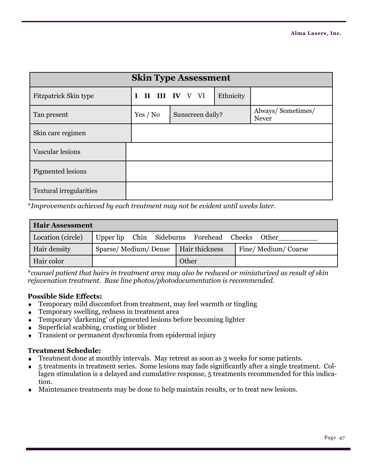| <b>Skin Type Assessment</b>    |          |                  |           |                                   |
|--------------------------------|----------|------------------|-----------|-----------------------------------|
| Fitzpatrick Skin type          | L        | II III IV V VI   | Ethnicity |                                   |
| Tan present                    | Yes / No | Sunscreen daily? |           | Always/Sometimes/<br><b>Never</b> |
| Skin care regimen              |          |                  |           |                                   |
| Vascular lesions               |          |                  |           |                                   |
| Pigmented lesions              |          |                  |           |                                   |
| <b>Textural irregularities</b> |          |                  |           |                                   |

\**Improvements achieved by each treatment may not be evident until weeks later.* 

| <b>Hair Assessment</b> |                                                |       |                    |
|------------------------|------------------------------------------------|-------|--------------------|
| Location (circle)      | Upper lip Chin Sideburns Forehead Cheeks Other |       |                    |
| Hair density           | Sparse/Medium/Dense   Hair thickness           |       | Fine/Medium/Coarse |
| Hair color             |                                                | Other |                    |

\**counsel patient that hairs in treatment area may also be reduced or miniaturized as result of skin rejuvenation treatment. Base line photos/photodocumentation is recommended.*

#### **Possible Side Effects:**

- Temporary mild discomfort from treatment, may feel warmth or tingling  $\bullet$
- Temporary swelling, redness in treatment area  $\ddot{\bullet}$
- Temporary ‗darkening' of pigmented lesions before becoming lighter  $\bullet$
- Superficial scabbing, crusting or blister  $\bullet$
- Transient or permanent dyschromia from epidermal injury  $\bullet$

#### **Treatment Schedule:**

- Treatment done at monthly intervals. May retreat as soon as 3 weeks for some patients.
- 5 treatments in treatment series. Some lesions may fade significantly after a single treatment. Collagen stimulation is a delayed and cumulative response, 5 treatments recommended for this indication.
- Maintenance treatments may be done to help maintain results, or to treat new lesions.  $\bullet$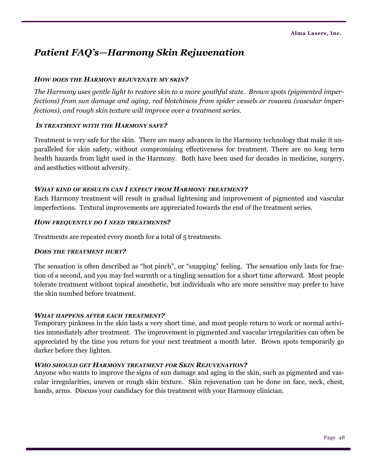# *Patient FAQ's—Harmony Skin Rejuvenation*

#### *HOW DOES THE HARMONY REJUVENATE MY SKIN?*

*The Harmony uses gentle light to restore skin to a more youthful state. Brown spots (pigmented imperfections) from sun damage and aging, red blotchiness from spider vessels or rosacea (vascular imperfections), and rough skin texture will improve over a treatment series.*

#### *IS TREATMENT WITH THE HARMONY SAFE?*

Treatment is very safe for the skin. There are many advances in the Harmony technology that make it unparalleled for skin safety, without compromising effectiveness for treatment. There are no long term health hazards from light used in the Harmony. Both have been used for decades in medicine, surgery, and aesthetics without adversity.

#### *WHAT KIND OF RESULTS CAN I EXPECT FROM HARMONY TREATMENT?*

Each Harmony treatment will result in gradual lightening and improvement of pigmented and vascular imperfections. Textural improvements are appreciated towards the end of the treatment series.

#### *HOW FREQUENTLY DO I NEED TREATMENTS?*

Treatments are repeated every month for a total of 5 treatments.

#### *DOES THE TREATMENT HURT?*

The sensation is often described as "hot pinch", or "snapping" feeling. The sensation only lasts for fraction of a second, and you may feel warmth or a tingling sensation for a short time afterward. Most people tolerate treatment without topical anesthetic, but individuals who are more sensitive may prefer to have the skin numbed before treatment.

#### *WHAT HAPPENS AFTER EACH TREATMENT?*

Temporary pinkness in the skin lasts a very short time, and most people return to work or normal activities immediately after treatment. The improvement in pigmented and vascular irregularities can often be appreciated by the time you return for your next treatment a month later. Brown spots temporarily go darker before they lighten.

#### *WHO SHOULD GET HARMONY TREATMENT FOR SKIN REJUVENATION?*

Anyone who wants to improve the signs of sun damage and aging in the skin, such as pigmented and vascular irregularities, uneven or rough skin texture. Skin rejuvenation can be done on face, neck, chest, hands, arms. Discuss your candidacy for this treatment with your Harmony clinician.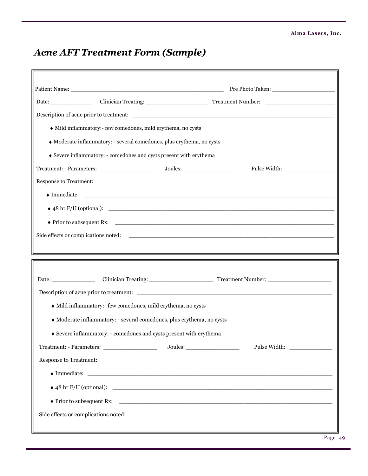# *Acne AFT Treatment Form (Sample)*

Е

| • Mild inflammatory:- few comedones, mild erythema, no cysts          |              |
|-----------------------------------------------------------------------|--------------|
| • Moderate inflammatory: - several comedones, plus erythema, no cysts |              |
| ♦ Severe inflammatory: - comedones and cysts present with erythema    |              |
|                                                                       |              |
| <b>Response to Treatment:</b>                                         |              |
|                                                                       |              |
|                                                                       |              |
|                                                                       |              |
|                                                                       |              |
|                                                                       |              |
|                                                                       |              |
|                                                                       |              |
| Date: Clinician Treating: Treatment Number: Clinician Treating:       |              |
|                                                                       |              |
| • Mild inflammatory:- few comedones, mild erythema, no cysts          |              |
| • Moderate inflammatory: - several comedones, plus erythema, no cysts |              |
| Severe inflammatory: - comedones and cysts present with erythema      |              |
|                                                                       | Pulse Width: |
| Response to Treatment:                                                |              |
|                                                                       |              |
|                                                                       |              |
|                                                                       |              |
|                                                                       |              |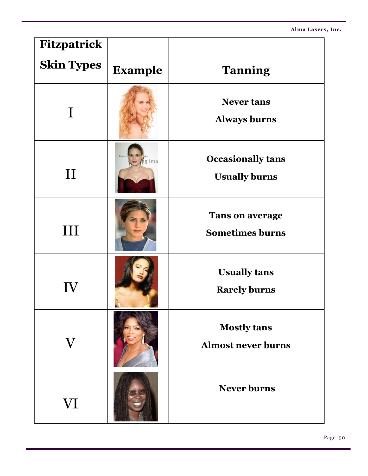**Alma Lasers, Inc.**

| <b>Fitzpatrick</b> |                |                                                  |
|--------------------|----------------|--------------------------------------------------|
| <b>Skin Types</b>  | <b>Example</b> | <b>Tanning</b>                                   |
|                    |                | <b>Never tans</b><br><b>Always burns</b>         |
| $\prod$            | g Ima          | <b>Occasionally tans</b><br><b>Usually burns</b> |
| $\rm III$          |                | <b>Tans on average</b><br><b>Sometimes burns</b> |
| IV                 |                | <b>Usually tans</b><br><b>Rarely burns</b>       |
| $\rm{V}$           |                | <b>Mostly tans</b><br><b>Almost never burns</b>  |
| VI                 |                | <b>Never burns</b>                               |